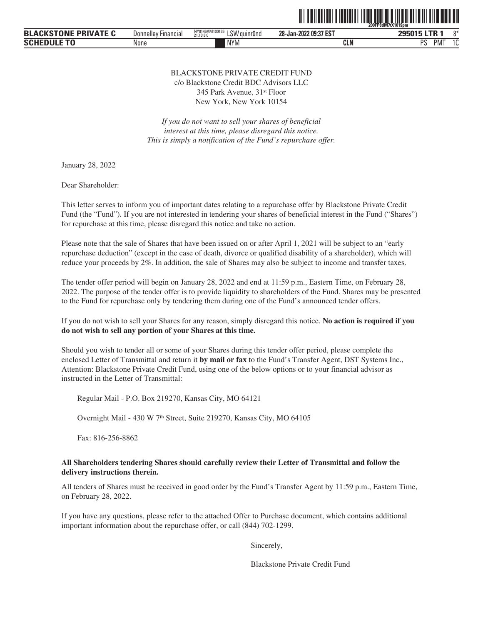

| <b>BLACKSTONE PRIVATE C</b> | Financia,<br>Donnelle | NY0146AM100136<br>$'$ CM $'$ .<br>' auınr0nd<br>21.10.8.0<br>LU. | 28-Jan-2022 09:37 EST | 295015 LTR                        | $0*$      |
|-----------------------------|-----------------------|------------------------------------------------------------------|-----------------------|-----------------------------------|-----------|
| <b>SCHEDULE TO</b>          | None                  | <b>NYM</b>                                                       | <b>CLN</b>            | <sub>D</sub> e<br>PM <sup>-</sup> | . .<br>ιu |

#### BLACKSTONE PRIVATE CREDIT FUND c/o Blackstone Credit BDC Advisors LLC 345 Park Avenue, 31st Floor

New York, New York 10154

*If you do not want to sell your shares of beneficial interest at this time, please disregard this notice. This is simply a notification of the Fund's repurchase offer.*

January 28, 2022

Dear Shareholder:

This letter serves to inform you of important dates relating to a repurchase offer by Blackstone Private Credit Fund (the "Fund"). If you are not interested in tendering your shares of beneficial interest in the Fund ("Shares") for repurchase at this time, please disregard this notice and take no action.

Please note that the sale of Shares that have been issued on or after April 1, 2021 will be subject to an "early repurchase deduction" (except in the case of death, divorce or qualified disability of a shareholder), which will reduce your proceeds by 2%. In addition, the sale of Shares may also be subject to income and transfer taxes.

The tender offer period will begin on January 28, 2022 and end at 11:59 p.m., Eastern Time, on February 28, 2022. The purpose of the tender offer is to provide liquidity to shareholders of the Fund. Shares may be presented to the Fund for repurchase only by tendering them during one of the Fund's announced tender offers.

If you do not wish to sell your Shares for any reason, simply disregard this notice. **No action is required if you do not wish to sell any portion of your Shares at this time.**

Should you wish to tender all or some of your Shares during this tender offer period, please complete the enclosed Letter of Transmittal and return it **by mail or fax** to the Fund's Transfer Agent, DST Systems Inc., Attention: Blackstone Private Credit Fund, using one of the below options or to your financial advisor as instructed in the Letter of Transmittal:

Regular Mail - P.O. Box 219270, Kansas City, MO 64121

Overnight Mail - 430 W 7th Street, Suite 219270, Kansas City, MO 64105

Fax: 816-256-8862

#### **All Shareholders tendering Shares should carefully review their Letter of Transmittal and follow the delivery instructions therein.**

All tenders of Shares must be received in good order by the Fund's Transfer Agent by 11:59 p.m., Eastern Time, on February 28, 2022.

If you have any questions, please refer to the attached Offer to Purchase document, which contains additional important information about the repurchase offer, or call (844) 702-1299.

Sincerely,

Blackstone Private Credit Fund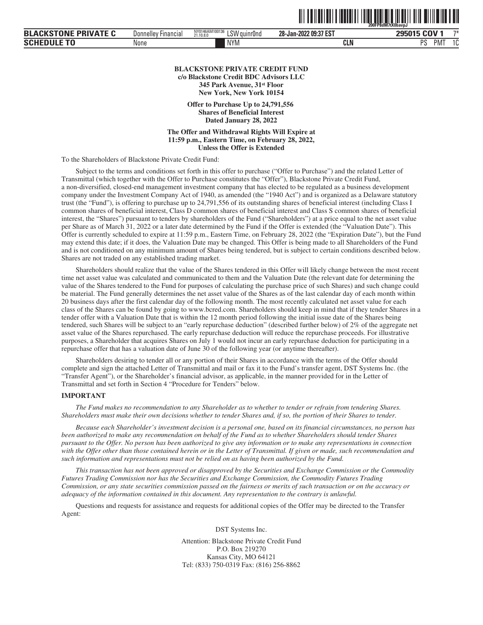|                             |                            |                                             |                       | 200FP8dM7tX0bavpJ    |  |
|-----------------------------|----------------------------|---------------------------------------------|-----------------------|----------------------|--|
| <b>BLACKSTONE PRIVATE C</b> | <b>Donnelley Financial</b> | NY0146AM100136<br>LSW guinr0nd<br>21,10,8,0 | 28-Jan-2022 09:37 EST | 295015 COV 1<br>$7*$ |  |
| <b>Schedule To</b>          | None                       | <b>NYM</b>                                  | CLN                   | <b>PMT</b><br>PS     |  |

#### **BLACKSTONE PRIVATE CREDIT FUND c/o Blackstone Credit BDC Advisors LLC 345 Park Avenue, 31st Floor New York, New York 10154**

**Offer to Purchase Up to 24,791,556 Shares of Beneficial Interest Dated January 28, 2022**

**The Offer and Withdrawal Rights Will Expire at 11:59 p.m., Eastern Time, on February 28, 2022, Unless the Offer is Extended**

To the Shareholders of Blackstone Private Credit Fund:

Subject to the terms and conditions set forth in this offer to purchase ("Offer to Purchase") and the related Letter of Transmittal (which together with the Offer to Purchase constitutes the "Offer"), Blackstone Private Credit Fund, a non-diversified, closed-end management investment company that has elected to be regulated as a business development company under the Investment Company Act of 1940, as amended (the "1940 Act") and is organized as a Delaware statutory trust (the "Fund"), is offering to purchase up to 24,791,556 of its outstanding shares of beneficial interest (including Class I common shares of beneficial interest, Class D common shares of beneficial interest and Class S common shares of beneficial interest, the "Shares") pursuant to tenders by shareholders of the Fund ("Shareholders") at a price equal to the net asset value per Share as of March 31, 2022 or a later date determined by the Fund if the Offer is extended (the "Valuation Date"). This Offer is currently scheduled to expire at 11:59 p.m., Eastern Time, on February 28, 2022 (the "Expiration Date"), but the Fund may extend this date; if it does, the Valuation Date may be changed. This Offer is being made to all Shareholders of the Fund and is not conditioned on any minimum amount of Shares being tendered, but is subject to certain conditions described below. Shares are not traded on any established trading market.

Shareholders should realize that the value of the Shares tendered in this Offer will likely change between the most recent time net asset value was calculated and communicated to them and the Valuation Date (the relevant date for determining the value of the Shares tendered to the Fund for purposes of calculating the purchase price of such Shares) and such change could be material. The Fund generally determines the net asset value of the Shares as of the last calendar day of each month within 20 business days after the first calendar day of the following month. The most recently calculated net asset value for each class of the Shares can be found by going to www.bcred.com. Shareholders should keep in mind that if they tender Shares in a tender offer with a Valuation Date that is within the 12 month period following the initial issue date of the Shares being tendered, such Shares will be subject to an "early repurchase deduction" (described further below) of 2% of the aggregate net asset value of the Shares repurchased. The early repurchase deduction will reduce the repurchase proceeds. For illustrative purposes, a Shareholder that acquires Shares on July 1 would not incur an early repurchase deduction for participating in a repurchase offer that has a valuation date of June 30 of the following year (or anytime thereafter).

Shareholders desiring to tender all or any portion of their Shares in accordance with the terms of the Offer should complete and sign the attached Letter of Transmittal and mail or fax it to the Fund's transfer agent, DST Systems Inc. (the "Transfer Agent"), or the Shareholder's financial advisor, as applicable, in the manner provided for in the Letter of Transmittal and set forth in Section 4 "Procedure for Tenders" below.

#### **IMPORTANT**

*The Fund makes no recommendation to any Shareholder as to whether to tender or refrain from tendering Shares. Shareholders must make their own decisions whether to tender Shares and, if so, the portion of their Shares to tender.*

*Because each Shareholder's investment decision is a personal one, based on its financial circumstances, no person has been authorized to make any recommendation on behalf of the Fund as to whether Shareholders should tender Shares pursuant to the Offer. No person has been authorized to give any information or to make any representations in connection with the Offer other than those contained herein or in the Letter of Transmittal. If given or made, such recommendation and such information and representations must not be relied on as having been authorized by the Fund.*

*This transaction has not been approved or disapproved by the Securities and Exchange Commission or the Commodity Futures Trading Commission nor has the Securities and Exchange Commission, the Commodity Futures Trading Commission, or any state securities commission passed on the fairness or merits of such transaction or on the accuracy or adequacy of the information contained in this document. Any representation to the contrary is unlawful.*

Questions and requests for assistance and requests for additional copies of the Offer may be directed to the Transfer Agent:

DST Systems Inc.

Attention: Blackstone Private Credit Fund P.O. Box 219270 Kansas City, MO 64121 Tel: (833) 750-0319 Fax: (816) 256-8862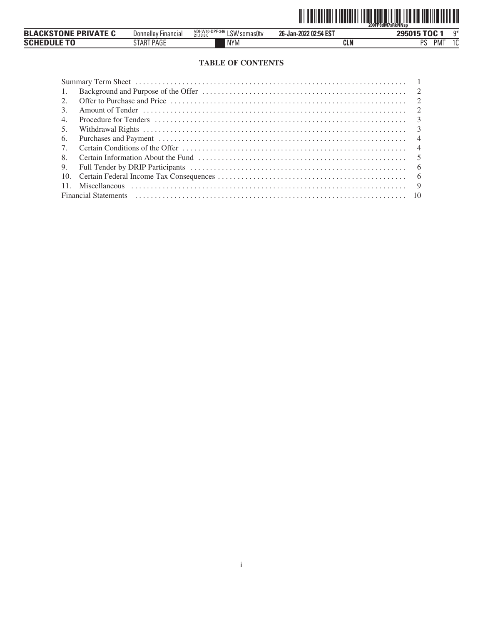

| <b>BLACKSTONE PRIVATE C</b> | <b>Financial</b><br>Donnelley | VDI-W10-DPF-346<br>$\sim$ 10 $\sim$ 10 $\sim$<br>√somas0tv<br>21.10.8.0<br>∟ວ∨ | 26-Jan-2022 02:54 EST | n*<br>295015 TOC                      |
|-----------------------------|-------------------------------|--------------------------------------------------------------------------------|-----------------------|---------------------------------------|
| <b>SCHEDULE TO</b>          | START PAGE                    | <b>NYM</b>                                                                     | <b>CLN</b>            | nc<br>$\sim$<br>PM <sup>-</sup><br>ΙU |

# **TABLE OF CONTENTS**

| -1.                             |                                                                                                                                                                                                                                |  |
|---------------------------------|--------------------------------------------------------------------------------------------------------------------------------------------------------------------------------------------------------------------------------|--|
| 2.                              |                                                                                                                                                                                                                                |  |
| 3.                              |                                                                                                                                                                                                                                |  |
| 4.                              |                                                                                                                                                                                                                                |  |
| 5.                              |                                                                                                                                                                                                                                |  |
| 6.                              |                                                                                                                                                                                                                                |  |
| $7_{\scriptscriptstyle{\circ}}$ |                                                                                                                                                                                                                                |  |
| 8.                              |                                                                                                                                                                                                                                |  |
| 9.                              |                                                                                                                                                                                                                                |  |
| 10.                             |                                                                                                                                                                                                                                |  |
| -11.                            |                                                                                                                                                                                                                                |  |
|                                 | Financial Statements (a) contain the control of the control of the control of the control of the control of the control of the control of the control of the control of the control of the control of the control of the contr |  |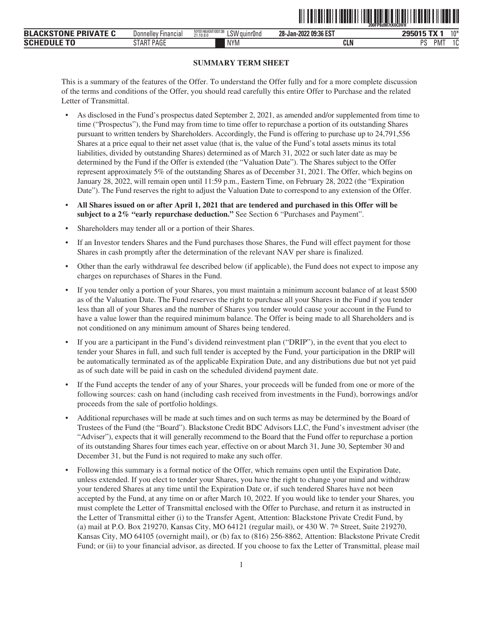|                                           |                                           |                                                                                  | - - -  -- . -- . - . - -- - . - . | 200FP8dM7tX0C0VH<br>.                    |                 |
|-------------------------------------------|-------------------------------------------|----------------------------------------------------------------------------------|-----------------------------------|------------------------------------------|-----------------|
| ---<br><b>BLA</b><br><b>DDI</b><br>ו ועוו | -<br><b>Hinancial</b><br><b>Donnellev</b> | Alline an A B Sennenn<br>۲SW<br>100136<br>NYUI4bAIVI.<br>' auınrUnd<br>21.10.8.0 | 28-Jan-2022 09:36 EST             | $-11$<br>$T = T$<br><b>COL</b>           | 10 <sup>3</sup> |
| <b>SCHI</b><br>u                          | <b>TRACE</b><br>'Aut<br>l Ah              | <b>NYM</b>                                                                       | <b>CLN</b>                        | <sub>D</sub> o<br>PM <sup>-</sup><br>. . | ໍດ<br>L         |

ˆ200FP8dM7tX0C0VHÇŠ **200FP8dM7tX0C0VH˙**

# **SUMMARY TERM SHEET**

This is a summary of the features of the Offer. To understand the Offer fully and for a more complete discussion of the terms and conditions of the Offer, you should read carefully this entire Offer to Purchase and the related Letter of Transmittal.

- As disclosed in the Fund's prospectus dated September 2, 2021, as amended and/or supplemented from time to time ("Prospectus"), the Fund may from time to time offer to repurchase a portion of its outstanding Shares pursuant to written tenders by Shareholders. Accordingly, the Fund is offering to purchase up to 24,791,556 Shares at a price equal to their net asset value (that is, the value of the Fund's total assets minus its total liabilities, divided by outstanding Shares) determined as of March 31, 2022 or such later date as may be determined by the Fund if the Offer is extended (the "Valuation Date"). The Shares subject to the Offer represent approximately 5% of the outstanding Shares as of December 31, 2021. The Offer, which begins on January 28, 2022, will remain open until 11:59 p.m., Eastern Time, on February 28, 2022 (the "Expiration Date"). The Fund reserves the right to adjust the Valuation Date to correspond to any extension of the Offer.
- **All Shares issued on or after April 1, 2021 that are tendered and purchased in this Offer will be subject to a 2% "early repurchase deduction."** See Section 6 "Purchases and Payment".
- Shareholders may tender all or a portion of their Shares.
- If an Investor tenders Shares and the Fund purchases those Shares, the Fund will effect payment for those Shares in cash promptly after the determination of the relevant NAV per share is finalized.
- Other than the early withdrawal fee described below (if applicable), the Fund does not expect to impose any charges on repurchases of Shares in the Fund.
- If you tender only a portion of your Shares, you must maintain a minimum account balance of at least \$500 as of the Valuation Date. The Fund reserves the right to purchase all your Shares in the Fund if you tender less than all of your Shares and the number of Shares you tender would cause your account in the Fund to have a value lower than the required minimum balance. The Offer is being made to all Shareholders and is not conditioned on any minimum amount of Shares being tendered.
- If you are a participant in the Fund's dividend reinvestment plan ("DRIP"), in the event that you elect to tender your Shares in full, and such full tender is accepted by the Fund, your participation in the DRIP will be automatically terminated as of the applicable Expiration Date, and any distributions due but not yet paid as of such date will be paid in cash on the scheduled dividend payment date.
- If the Fund accepts the tender of any of your Shares, your proceeds will be funded from one or more of the following sources: cash on hand (including cash received from investments in the Fund), borrowings and/or proceeds from the sale of portfolio holdings.
- Additional repurchases will be made at such times and on such terms as may be determined by the Board of Trustees of the Fund (the "Board"). Blackstone Credit BDC Advisors LLC, the Fund's investment adviser (the "Adviser"), expects that it will generally recommend to the Board that the Fund offer to repurchase a portion of its outstanding Shares four times each year, effective on or about March 31, June 30, September 30 and December 31, but the Fund is not required to make any such offer.
- Following this summary is a formal notice of the Offer, which remains open until the Expiration Date, unless extended. If you elect to tender your Shares, you have the right to change your mind and withdraw your tendered Shares at any time until the Expiration Date or, if such tendered Shares have not been accepted by the Fund, at any time on or after March 10, 2022. If you would like to tender your Shares, you must complete the Letter of Transmittal enclosed with the Offer to Purchase, and return it as instructed in the Letter of Transmittal either (i) to the Transfer Agent, Attention: Blackstone Private Credit Fund, by (a) mail at P.O. Box 219270, Kansas City, MO 64121 (regular mail), or 430 W. 7<sup>th</sup> Street, Suite 219270, Kansas City, MO 64105 (overnight mail), or (b) fax to (816) 256-8862, Attention: Blackstone Private Credit Fund; or (ii) to your financial advisor, as directed. If you choose to fax the Letter of Transmittal, please mail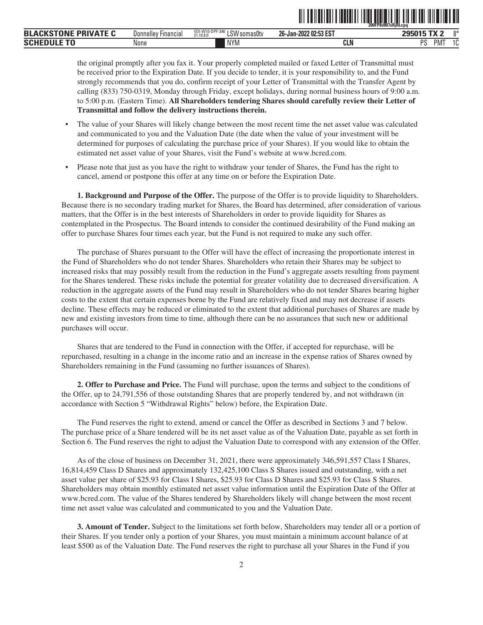| <b>BLACKSTONE PRIVATE C</b> | <b>Donnelley Financial</b> | VDI-W10-DPF-346<br>$^{\circ}$ LSW somas0tv<br>21.10.8.0 | 26-Jan-2022 02:53 EST | 0*<br>295015 TX 2     |
|-----------------------------|----------------------------|---------------------------------------------------------|-----------------------|-----------------------|
| <b>SCHEDULE TO</b>          | None                       | <b>NYM</b>                                              | CLN                   | PMT<br>10<br>PS<br>ΙU |

the original promptly after you fax it. Your properly completed mailed or faxed Letter of Transmittal must be received prior to the Expiration Date. If you decide to tender, it is your responsibility to, and the Fund strongly recommends that you do, confirm receipt of your Letter of Transmittal with the Transfer Agent by calling (833) 750-0319, Monday through Friday, except holidays, during normal business hours of 9:00 a.m. to 5:00 p.m. (Eastern Time). **All Shareholders tendering Shares should carefully review their Letter of Transmittal and follow the delivery instructions therein.**

- The value of your Shares will likely change between the most recent time the net asset value was calculated and communicated to you and the Valuation Date (the date when the value of your investment will be determined for purposes of calculating the purchase price of your Shares). If you would like to obtain the estimated net asset value of your Shares, visit the Fund's website at www.bcred.com.
- Please note that just as you have the right to withdraw your tender of Shares, the Fund has the right to cancel, amend or postpone this offer at any time on or before the Expiration Date.

**1. Background and Purpose of the Offer.** The purpose of the Offer is to provide liquidity to Shareholders. Because there is no secondary trading market for Shares, the Board has determined, after consideration of various matters, that the Offer is in the best interests of Shareholders in order to provide liquidity for Shares as contemplated in the Prospectus. The Board intends to consider the continued desirability of the Fund making an offer to purchase Shares four times each year, but the Fund is not required to make any such offer.

The purchase of Shares pursuant to the Offer will have the effect of increasing the proportionate interest in the Fund of Shareholders who do not tender Shares. Shareholders who retain their Shares may be subject to increased risks that may possibly result from the reduction in the Fund's aggregate assets resulting from payment for the Shares tendered. These risks include the potential for greater volatility due to decreased diversification. A reduction in the aggregate assets of the Fund may result in Shareholders who do not tender Shares bearing higher costs to the extent that certain expenses borne by the Fund are relatively fixed and may not decrease if assets decline. These effects may be reduced or eliminated to the extent that additional purchases of Shares are made by new and existing investors from time to time, although there can be no assurances that such new or additional purchases will occur.

Shares that are tendered to the Fund in connection with the Offer, if accepted for repurchase, will be repurchased, resulting in a change in the income ratio and an increase in the expense ratios of Shares owned by Shareholders remaining in the Fund (assuming no further issuances of Shares).

**2. Offer to Purchase and Price.** The Fund will purchase, upon the terms and subject to the conditions of the Offer, up to 24,791,556 of those outstanding Shares that are properly tendered by, and not withdrawn (in accordance with Section 5 "Withdrawal Rights" below) before, the Expiration Date.

The Fund reserves the right to extend, amend or cancel the Offer as described in Sections 3 and 7 below. The purchase price of a Share tendered will be its net asset value as of the Valuation Date, payable as set forth in Section 6. The Fund reserves the right to adjust the Valuation Date to correspond with any extension of the Offer.

As of the close of business on December 31, 2021, there were approximately 346,591,557 Class I Shares, 16,814,459 Class D Shares and approximately 132,425,100 Class S Shares issued and outstanding, with a net asset value per share of \$25.93 for Class I Shares, \$25.93 for Class D Shares and \$25.93 for Class S Shares. Shareholders may obtain monthly estimated net asset value information until the Expiration Date of the Offer at www.bcred.com. The value of the Shares tendered by Shareholders likely will change between the most recent time net asset value was calculated and communicated to you and the Valuation Date.

**3. Amount of Tender.** Subject to the limitations set forth below, Shareholders may tender all or a portion of their Shares. If you tender only a portion of your Shares, you must maintain a minimum account balance of at least \$500 as of the Valuation Date. The Fund reserves the right to purchase all your Shares in the Fund if you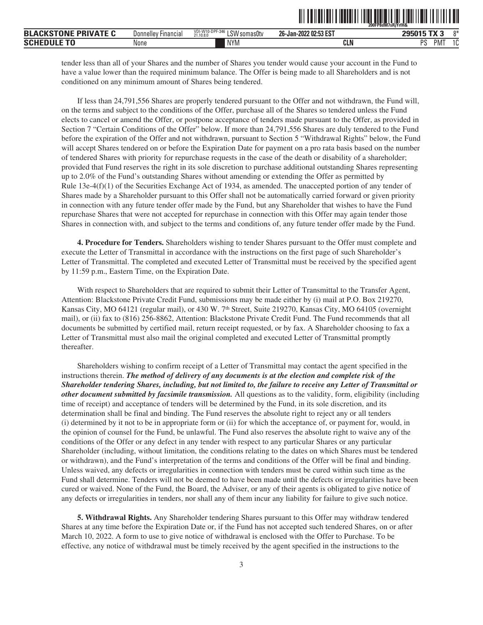| <b>BLACKSTONE PRIVATE C</b> | <b>Financial</b><br>Donnellev | VDI-W10-DPF-346<br>LSW somas0tv<br>21.10.8.0 | 26-Jan-2022 02:53 EST | $205015$ TV $3$ | $0*$         |
|-----------------------------|-------------------------------|----------------------------------------------|-----------------------|-----------------|--------------|
| <b>SCHEDULE TO</b>          | None                          | <b>NYM</b>                                   | <b>CLN</b>            | DC<br>PM1       | $\sim$<br>ιu |

<u>oli ordinal olaradi idao ordinal idalimi idali idalar o</u>

tender less than all of your Shares and the number of Shares you tender would cause your account in the Fund to have a value lower than the required minimum balance. The Offer is being made to all Shareholders and is not conditioned on any minimum amount of Shares being tendered.

If less than 24,791,556 Shares are properly tendered pursuant to the Offer and not withdrawn, the Fund will, on the terms and subject to the conditions of the Offer, purchase all of the Shares so tendered unless the Fund elects to cancel or amend the Offer, or postpone acceptance of tenders made pursuant to the Offer, as provided in Section 7 "Certain Conditions of the Offer" below. If more than 24,791,556 Shares are duly tendered to the Fund before the expiration of the Offer and not withdrawn, pursuant to Section 5 "Withdrawal Rights" below, the Fund will accept Shares tendered on or before the Expiration Date for payment on a pro rata basis based on the number of tendered Shares with priority for repurchase requests in the case of the death or disability of a shareholder; provided that Fund reserves the right in its sole discretion to purchase additional outstanding Shares representing up to 2.0% of the Fund's outstanding Shares without amending or extending the Offer as permitted by Rule 13e-4(f)(1) of the Securities Exchange Act of 1934, as amended. The unaccepted portion of any tender of Shares made by a Shareholder pursuant to this Offer shall not be automatically carried forward or given priority in connection with any future tender offer made by the Fund, but any Shareholder that wishes to have the Fund repurchase Shares that were not accepted for repurchase in connection with this Offer may again tender those Shares in connection with, and subject to the terms and conditions of, any future tender offer made by the Fund.

**4. Procedure for Tenders.** Shareholders wishing to tender Shares pursuant to the Offer must complete and execute the Letter of Transmittal in accordance with the instructions on the first page of such Shareholder's Letter of Transmittal. The completed and executed Letter of Transmittal must be received by the specified agent by 11:59 p.m., Eastern Time, on the Expiration Date.

With respect to Shareholders that are required to submit their Letter of Transmittal to the Transfer Agent, Attention: Blackstone Private Credit Fund, submissions may be made either by (i) mail at P.O. Box 219270, Kansas City, MO 64121 (regular mail), or 430 W. 7<sup>th</sup> Street, Suite 219270, Kansas City, MO 64105 (overnight mail), or (ii) fax to (816) 256-8862, Attention: Blackstone Private Credit Fund. The Fund recommends that all documents be submitted by certified mail, return receipt requested, or by fax. A Shareholder choosing to fax a Letter of Transmittal must also mail the original completed and executed Letter of Transmittal promptly thereafter.

Shareholders wishing to confirm receipt of a Letter of Transmittal may contact the agent specified in the instructions therein. *The method of delivery of any documents is at the election and complete risk of the Shareholder tendering Shares, including, but not limited to, the failure to receive any Letter of Transmittal or other document submitted by facsimile transmission.* All questions as to the validity, form, eligibility (including time of receipt) and acceptance of tenders will be determined by the Fund, in its sole discretion, and its determination shall be final and binding. The Fund reserves the absolute right to reject any or all tenders (i) determined by it not to be in appropriate form or (ii) for which the acceptance of, or payment for, would, in the opinion of counsel for the Fund, be unlawful. The Fund also reserves the absolute right to waive any of the conditions of the Offer or any defect in any tender with respect to any particular Shares or any particular Shareholder (including, without limitation, the conditions relating to the dates on which Shares must be tendered or withdrawn), and the Fund's interpretation of the terms and conditions of the Offer will be final and binding. Unless waived, any defects or irregularities in connection with tenders must be cured within such time as the Fund shall determine. Tenders will not be deemed to have been made until the defects or irregularities have been cured or waived. None of the Fund, the Board, the Adviser, or any of their agents is obligated to give notice of any defects or irregularities in tenders, nor shall any of them incur any liability for failure to give such notice.

**5. Withdrawal Rights.** Any Shareholder tendering Shares pursuant to this Offer may withdraw tendered Shares at any time before the Expiration Date or, if the Fund has not accepted such tendered Shares, on or after March 10, 2022. A form to use to give notice of withdrawal is enclosed with the Offer to Purchase. To be effective, any notice of withdrawal must be timely received by the agent specified in the instructions to the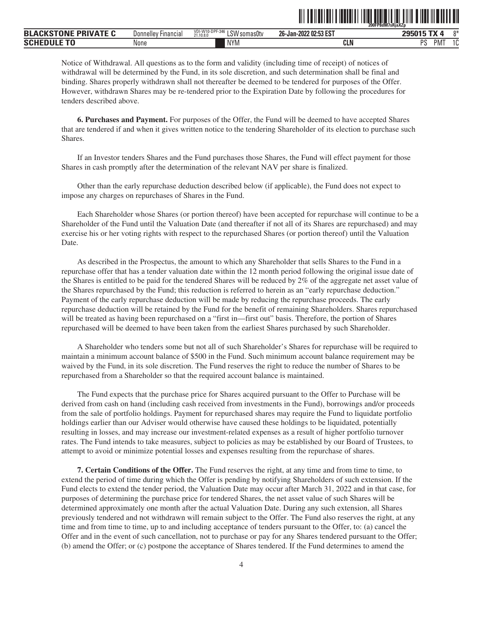|                             |                            |                                           |                       | <u>II, TIITEE TAATI IN METALEMEN</u><br>200FP8dM7sRjaXZp |
|-----------------------------|----------------------------|-------------------------------------------|-----------------------|----------------------------------------------------------|
| <b>BLACKSTONE PRIVATE C</b> | <b>Donnelley Financial</b> | VDI-W10-DPF-346 LSW somas0tv<br>21.10.8.0 | 26-Jan-2022 02:53 EST | $0*$<br>295015 TX 4                                      |
| <b>SCHEDULE TO</b>          | None                       | <b>NYM</b>                                | CLN                   | PMT<br>PS<br>10                                          |

Notice of Withdrawal. All questions as to the form and validity (including time of receipt) of notices of withdrawal will be determined by the Fund, in its sole discretion, and such determination shall be final and binding. Shares properly withdrawn shall not thereafter be deemed to be tendered for purposes of the Offer. However, withdrawn Shares may be re-tendered prior to the Expiration Date by following the procedures for tenders described above.

**6. Purchases and Payment.** For purposes of the Offer, the Fund will be deemed to have accepted Shares that are tendered if and when it gives written notice to the tendering Shareholder of its election to purchase such Shares.

If an Investor tenders Shares and the Fund purchases those Shares, the Fund will effect payment for those Shares in cash promptly after the determination of the relevant NAV per share is finalized.

Other than the early repurchase deduction described below (if applicable), the Fund does not expect to impose any charges on repurchases of Shares in the Fund.

Each Shareholder whose Shares (or portion thereof) have been accepted for repurchase will continue to be a Shareholder of the Fund until the Valuation Date (and thereafter if not all of its Shares are repurchased) and may exercise his or her voting rights with respect to the repurchased Shares (or portion thereof) until the Valuation Date.

As described in the Prospectus, the amount to which any Shareholder that sells Shares to the Fund in a repurchase offer that has a tender valuation date within the 12 month period following the original issue date of the Shares is entitled to be paid for the tendered Shares will be reduced by 2% of the aggregate net asset value of the Shares repurchased by the Fund; this reduction is referred to herein as an "early repurchase deduction." Payment of the early repurchase deduction will be made by reducing the repurchase proceeds. The early repurchase deduction will be retained by the Fund for the benefit of remaining Shareholders. Shares repurchased will be treated as having been repurchased on a "first in—first out" basis. Therefore, the portion of Shares repurchased will be deemed to have been taken from the earliest Shares purchased by such Shareholder.

A Shareholder who tenders some but not all of such Shareholder's Shares for repurchase will be required to maintain a minimum account balance of \$500 in the Fund. Such minimum account balance requirement may be waived by the Fund, in its sole discretion. The Fund reserves the right to reduce the number of Shares to be repurchased from a Shareholder so that the required account balance is maintained.

The Fund expects that the purchase price for Shares acquired pursuant to the Offer to Purchase will be derived from cash on hand (including cash received from investments in the Fund), borrowings and/or proceeds from the sale of portfolio holdings. Payment for repurchased shares may require the Fund to liquidate portfolio holdings earlier than our Adviser would otherwise have caused these holdings to be liquidated, potentially resulting in losses, and may increase our investment-related expenses as a result of higher portfolio turnover rates. The Fund intends to take measures, subject to policies as may be established by our Board of Trustees, to attempt to avoid or minimize potential losses and expenses resulting from the repurchase of shares.

**7. Certain Conditions of the Offer.** The Fund reserves the right, at any time and from time to time, to extend the period of time during which the Offer is pending by notifying Shareholders of such extension. If the Fund elects to extend the tender period, the Valuation Date may occur after March 31, 2022 and in that case, for purposes of determining the purchase price for tendered Shares, the net asset value of such Shares will be determined approximately one month after the actual Valuation Date. During any such extension, all Shares previously tendered and not withdrawn will remain subject to the Offer. The Fund also reserves the right, at any time and from time to time, up to and including acceptance of tenders pursuant to the Offer, to: (a) cancel the Offer and in the event of such cancellation, not to purchase or pay for any Shares tendered pursuant to the Offer; (b) amend the Offer; or (c) postpone the acceptance of Shares tendered. If the Fund determines to amend the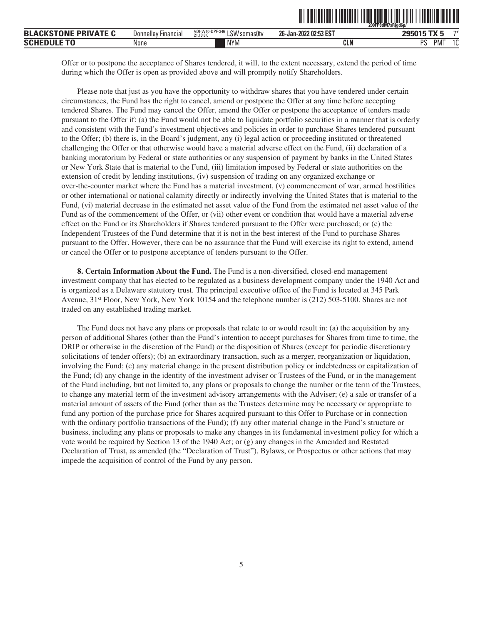| <b>FPRIVATE L</b><br>$\mathbf{A}$<br><b>BLA</b><br>. IN I | Donnelley<br>Financia. | vUI-W10-DPF-340<br>LSW<br>'somas0tv<br>21.10.8.0 | 202:53 EST<br>ne.<br>26-Jan-2022 | $ -$                             |
|-----------------------------------------------------------|------------------------|--------------------------------------------------|----------------------------------|----------------------------------|
| <b>SCHI</b>                                               | None                   | <b>NYM</b>                                       | ה וח<br><b>ULN</b>               | DС<br>$\sim$<br>'IVI<br>л.<br>്പ |

Offer or to postpone the acceptance of Shares tendered, it will, to the extent necessary, extend the period of time during which the Offer is open as provided above and will promptly notify Shareholders.

Please note that just as you have the opportunity to withdraw shares that you have tendered under certain circumstances, the Fund has the right to cancel, amend or postpone the Offer at any time before accepting tendered Shares. The Fund may cancel the Offer, amend the Offer or postpone the acceptance of tenders made pursuant to the Offer if: (a) the Fund would not be able to liquidate portfolio securities in a manner that is orderly and consistent with the Fund's investment objectives and policies in order to purchase Shares tendered pursuant to the Offer; (b) there is, in the Board's judgment, any (i) legal action or proceeding instituted or threatened challenging the Offer or that otherwise would have a material adverse effect on the Fund, (ii) declaration of a banking moratorium by Federal or state authorities or any suspension of payment by banks in the United States or New York State that is material to the Fund, (iii) limitation imposed by Federal or state authorities on the extension of credit by lending institutions, (iv) suspension of trading on any organized exchange or over-the-counter market where the Fund has a material investment, (v) commencement of war, armed hostilities or other international or national calamity directly or indirectly involving the United States that is material to the Fund, (vi) material decrease in the estimated net asset value of the Fund from the estimated net asset value of the Fund as of the commencement of the Offer, or (vii) other event or condition that would have a material adverse effect on the Fund or its Shareholders if Shares tendered pursuant to the Offer were purchased; or (c) the Independent Trustees of the Fund determine that it is not in the best interest of the Fund to purchase Shares pursuant to the Offer. However, there can be no assurance that the Fund will exercise its right to extend, amend or cancel the Offer or to postpone acceptance of tenders pursuant to the Offer.

**8. Certain Information About the Fund.** The Fund is a non-diversified, closed-end management investment company that has elected to be regulated as a business development company under the 1940 Act and is organized as a Delaware statutory trust. The principal executive office of the Fund is located at 345 Park Avenue, 31st Floor, New York, New York 10154 and the telephone number is (212) 503-5100. Shares are not traded on any established trading market.

The Fund does not have any plans or proposals that relate to or would result in: (a) the acquisition by any person of additional Shares (other than the Fund's intention to accept purchases for Shares from time to time, the DRIP or otherwise in the discretion of the Fund) or the disposition of Shares (except for periodic discretionary solicitations of tender offers); (b) an extraordinary transaction, such as a merger, reorganization or liquidation, involving the Fund; (c) any material change in the present distribution policy or indebtedness or capitalization of the Fund; (d) any change in the identity of the investment adviser or Trustees of the Fund, or in the management of the Fund including, but not limited to, any plans or proposals to change the number or the term of the Trustees, to change any material term of the investment advisory arrangements with the Adviser; (e) a sale or transfer of a material amount of assets of the Fund (other than as the Trustees determine may be necessary or appropriate to fund any portion of the purchase price for Shares acquired pursuant to this Offer to Purchase or in connection with the ordinary portfolio transactions of the Fund); (f) any other material change in the Fund's structure or business, including any plans or proposals to make any changes in its fundamental investment policy for which a vote would be required by Section 13 of the 1940 Act; or (g) any changes in the Amended and Restated Declaration of Trust, as amended (the "Declaration of Trust"), Bylaws, or Prospectus or other actions that may impede the acquisition of control of the Fund by any person.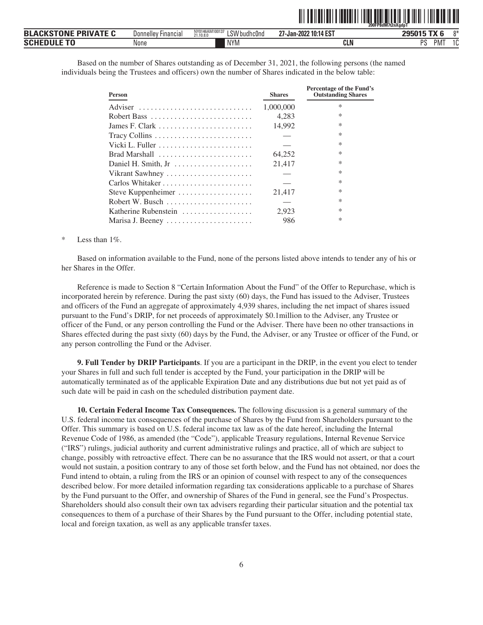|                             |                     |                                             | .                     | 200FP8dM7t2nXadpT |    |
|-----------------------------|---------------------|---------------------------------------------|-----------------------|-------------------|----|
| <b>BLACKSTONE PRIVATE C</b> | Donnelley Financial | NY0146AM100137<br>LSW budhc0nd<br>21.10.8.0 | 27-Jan-2022 10:14 EST | 295015 TX 6       | n* |
| <b>Schedule To</b>          | None                | <b>NYM</b>                                  | <b>CLN</b>            | DС<br>PMT         | 1C |

<u>oli ordinal oli olenalidi oli oli oli olenalidi oli oli oli oli oli ol</u>

Based on the number of Shares outstanding as of December 31, 2021, the following persons (the named individuals being the Trustees and officers) own the number of Shares indicated in the below table:

| <b>Person</b>        | <b>Shares</b> | Percentage of the Fund's<br><b>Outstanding Shares</b> |
|----------------------|---------------|-------------------------------------------------------|
| Adviser              | 1,000,000     | $\ast$                                                |
| Robert Bass          | 4.283         | ∗                                                     |
| James F. Clark       | 14,992        | $\ast$                                                |
| Tracy Collins        |               | $\ast$                                                |
|                      |               | $\ast$                                                |
| Brad Marshall        | 64,252        | $\ast$                                                |
| Daniel H. Smith, Jr  | 21,417        | $\ast$                                                |
| Vikrant Sawhney      |               | $\ast$                                                |
| Carlos Whitaker      |               | $\ast$                                                |
| Steve Kuppenheimer   | 21,417        | $\ast$                                                |
| Robert W. Busch      |               | $\ast$                                                |
| Katherine Rubenstein | 2,923         | $\ast$                                                |
| Marisa J. Beeney     | 986           | $\ast$                                                |

#### Less than  $1\%$ .

Based on information available to the Fund, none of the persons listed above intends to tender any of his or her Shares in the Offer.

Reference is made to Section 8 "Certain Information About the Fund" of the Offer to Repurchase, which is incorporated herein by reference. During the past sixty (60) days, the Fund has issued to the Adviser, Trustees and officers of the Fund an aggregate of approximately 4,939 shares, including the net impact of shares issued pursuant to the Fund's DRIP, for net proceeds of approximately \$0.1million to the Adviser, any Trustee or officer of the Fund, or any person controlling the Fund or the Adviser. There have been no other transactions in Shares effected during the past sixty (60) days by the Fund, the Adviser, or any Trustee or officer of the Fund, or any person controlling the Fund or the Adviser.

**9. Full Tender by DRIP Participants**. If you are a participant in the DRIP, in the event you elect to tender your Shares in full and such full tender is accepted by the Fund, your participation in the DRIP will be automatically terminated as of the applicable Expiration Date and any distributions due but not yet paid as of such date will be paid in cash on the scheduled distribution payment date.

**10. Certain Federal Income Tax Consequences.** The following discussion is a general summary of the U.S. federal income tax consequences of the purchase of Shares by the Fund from Shareholders pursuant to the Offer. This summary is based on U.S. federal income tax law as of the date hereof, including the Internal Revenue Code of 1986, as amended (the "Code"), applicable Treasury regulations, Internal Revenue Service ("IRS") rulings, judicial authority and current administrative rulings and practice, all of which are subject to change, possibly with retroactive effect. There can be no assurance that the IRS would not assert, or that a court would not sustain, a position contrary to any of those set forth below, and the Fund has not obtained, nor does the Fund intend to obtain, a ruling from the IRS or an opinion of counsel with respect to any of the consequences described below. For more detailed information regarding tax considerations applicable to a purchase of Shares by the Fund pursuant to the Offer, and ownership of Shares of the Fund in general, see the Fund's Prospectus. Shareholders should also consult their own tax advisers regarding their particular situation and the potential tax consequences to them of a purchase of their Shares by the Fund pursuant to the Offer, including potential state, local and foreign taxation, as well as any applicable transfer taxes.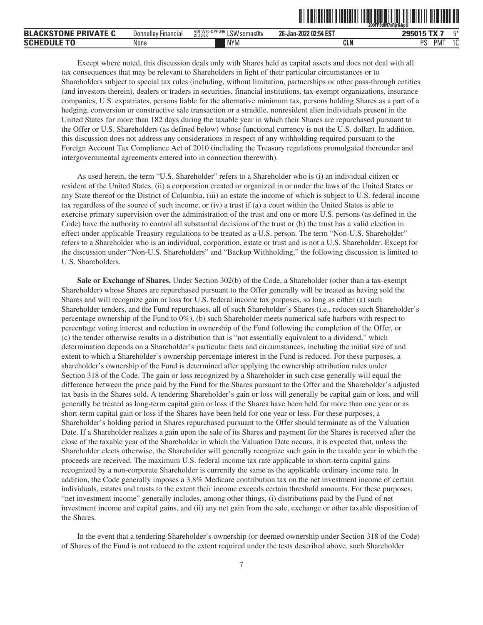|                             |                            |                                                         | <u> III TENENI III IIIIIII I</u> | 200FP8dM7sRir&bpU |
|-----------------------------|----------------------------|---------------------------------------------------------|----------------------------------|-------------------|
| <b>BLACKSTONE PRIVATE C</b> | <b>Donnelley Financial</b> | VDI-W10-DPF-346<br>$^{\circ}$ LSW somas0tv<br>21.10.8.0 | 26-Jan-2022 02:54 EST            | г*<br>295015 TX 7 |
| <b>Schedule To</b>          | None                       | NYM                                                     | CLN                              | PS<br>PMT<br>10   |

Except where noted, this discussion deals only with Shares held as capital assets and does not deal with all tax consequences that may be relevant to Shareholders in light of their particular circumstances or to Shareholders subject to special tax rules (including, without limitation, partnerships or other pass-through entities (and investors therein), dealers or traders in securities, financial institutions, tax-exempt organizations, insurance companies, U.S. expatriates, persons liable for the alternative minimum tax, persons holding Shares as a part of a hedging, conversion or constructive sale transaction or a straddle, nonresident alien individuals present in the United States for more than 182 days during the taxable year in which their Shares are repurchased pursuant to the Offer or U.S. Shareholders (as defined below) whose functional currency is not the U.S. dollar). In addition, this discussion does not address any considerations in respect of any withholding required pursuant to the Foreign Account Tax Compliance Act of 2010 (including the Treasury regulations promulgated thereunder and intergovernmental agreements entered into in connection therewith).

As used herein, the term "U.S. Shareholder" refers to a Shareholder who is (i) an individual citizen or resident of the United States, (ii) a corporation created or organized in or under the laws of the United States or any State thereof or the District of Columbia, (iii) an estate the income of which is subject to U.S. federal income tax regardless of the source of such income, or (iv) a trust if (a) a court within the United States is able to exercise primary supervision over the administration of the trust and one or more U.S. persons (as defined in the Code) have the authority to control all substantial decisions of the trust or (b) the trust has a valid election in effect under applicable Treasury regulations to be treated as a U.S. person. The term "Non-U.S. Shareholder" refers to a Shareholder who is an individual, corporation, estate or trust and is not a U.S. Shareholder. Except for the discussion under "Non-U.S. Shareholders" and "Backup Withholding," the following discussion is limited to U.S. Shareholders.

**Sale or Exchange of Shares.** Under Section 302(b) of the Code, a Shareholder (other than a tax-exempt Shareholder) whose Shares are repurchased pursuant to the Offer generally will be treated as having sold the Shares and will recognize gain or loss for U.S. federal income tax purposes, so long as either (a) such Shareholder tenders, and the Fund repurchases, all of such Shareholder's Shares (i.e., reduces such Shareholder's percentage ownership of the Fund to  $0\%$ ), (b) such Shareholder meets numerical safe harbors with respect to percentage voting interest and reduction in ownership of the Fund following the completion of the Offer, or (c) the tender otherwise results in a distribution that is "not essentially equivalent to a dividend," which determination depends on a Shareholder's particular facts and circumstances, including the initial size of and extent to which a Shareholder's ownership percentage interest in the Fund is reduced. For these purposes, a shareholder's ownership of the Fund is determined after applying the ownership attribution rules under Section 318 of the Code. The gain or loss recognized by a Shareholder in such case generally will equal the difference between the price paid by the Fund for the Shares pursuant to the Offer and the Shareholder's adjusted tax basis in the Shares sold. A tendering Shareholder's gain or loss will generally be capital gain or loss, and will generally be treated as long-term capital gain or loss if the Shares have been held for more than one year or as short-term capital gain or loss if the Shares have been held for one year or less. For these purposes, a Shareholder's holding period in Shares repurchased pursuant to the Offer should terminate as of the Valuation Date. If a Shareholder realizes a gain upon the sale of its Shares and payment for the Shares is received after the close of the taxable year of the Shareholder in which the Valuation Date occurs, it is expected that, unless the Shareholder elects otherwise, the Shareholder will generally recognize such gain in the taxable year in which the proceeds are received. The maximum U.S. federal income tax rate applicable to short-term capital gains recognized by a non-corporate Shareholder is currently the same as the applicable ordinary income rate. In addition, the Code generally imposes a 3.8% Medicare contribution tax on the net investment income of certain individuals, estates and trusts to the extent their income exceeds certain threshold amounts. For these purposes, "net investment income" generally includes, among other things, (i) distributions paid by the Fund of net investment income and capital gains, and (ii) any net gain from the sale, exchange or other taxable disposition of the Shares.

In the event that a tendering Shareholder's ownership (or deemed ownership under Section 318 of the Code) of Shares of the Fund is not reduced to the extent required under the tests described above, such Shareholder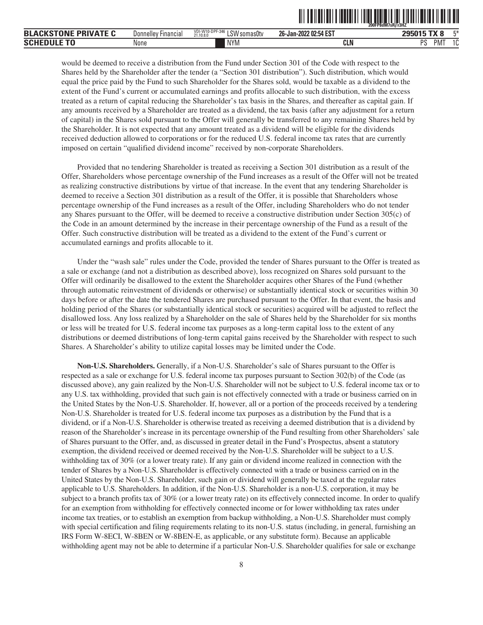|                             |                            |                                                           |                       | <u> I i ili politi ili situali ili situali ili situali ili situali ili situali ili situali ili situali ili situali</u><br>200FP8dM7sRiTr3HZ |
|-----------------------------|----------------------------|-----------------------------------------------------------|-----------------------|---------------------------------------------------------------------------------------------------------------------------------------------|
| <b>BLACKSTONE PRIVATE C</b> | <b>Donnelley Financial</b> | VDI-W10-DPF-346<br><sup>3</sup> LSW somas0tv<br>21.10.8.0 | 26-Jan-2022 02:54 EST | 295015 TX 8<br>г*                                                                                                                           |
| <b>Schedule To</b>          | None                       | <b>NYM</b>                                                | <b>CLN</b>            | 10<br>PMT<br>PS                                                                                                                             |

would be deemed to receive a distribution from the Fund under Section 301 of the Code with respect to the Shares held by the Shareholder after the tender (a "Section 301 distribution"). Such distribution, which would equal the price paid by the Fund to such Shareholder for the Shares sold, would be taxable as a dividend to the extent of the Fund's current or accumulated earnings and profits allocable to such distribution, with the excess treated as a return of capital reducing the Shareholder's tax basis in the Shares, and thereafter as capital gain. If any amounts received by a Shareholder are treated as a dividend, the tax basis (after any adjustment for a return of capital) in the Shares sold pursuant to the Offer will generally be transferred to any remaining Shares held by the Shareholder. It is not expected that any amount treated as a dividend will be eligible for the dividends received deduction allowed to corporations or for the reduced U.S. federal income tax rates that are currently imposed on certain "qualified dividend income" received by non-corporate Shareholders.

Provided that no tendering Shareholder is treated as receiving a Section 301 distribution as a result of the Offer, Shareholders whose percentage ownership of the Fund increases as a result of the Offer will not be treated as realizing constructive distributions by virtue of that increase. In the event that any tendering Shareholder is deemed to receive a Section 301 distribution as a result of the Offer, it is possible that Shareholders whose percentage ownership of the Fund increases as a result of the Offer, including Shareholders who do not tender any Shares pursuant to the Offer, will be deemed to receive a constructive distribution under Section 305(c) of the Code in an amount determined by the increase in their percentage ownership of the Fund as a result of the Offer. Such constructive distribution will be treated as a dividend to the extent of the Fund's current or accumulated earnings and profits allocable to it.

Under the "wash sale" rules under the Code, provided the tender of Shares pursuant to the Offer is treated as a sale or exchange (and not a distribution as described above), loss recognized on Shares sold pursuant to the Offer will ordinarily be disallowed to the extent the Shareholder acquires other Shares of the Fund (whether through automatic reinvestment of dividends or otherwise) or substantially identical stock or securities within 30 days before or after the date the tendered Shares are purchased pursuant to the Offer. In that event, the basis and holding period of the Shares (or substantially identical stock or securities) acquired will be adjusted to reflect the disallowed loss. Any loss realized by a Shareholder on the sale of Shares held by the Shareholder for six months or less will be treated for U.S. federal income tax purposes as a long-term capital loss to the extent of any distributions or deemed distributions of long-term capital gains received by the Shareholder with respect to such Shares. A Shareholder's ability to utilize capital losses may be limited under the Code.

**Non-U.S. Shareholders.** Generally, if a Non-U.S. Shareholder's sale of Shares pursuant to the Offer is respected as a sale or exchange for U.S. federal income tax purposes pursuant to Section 302(b) of the Code (as discussed above), any gain realized by the Non-U.S. Shareholder will not be subject to U.S. federal income tax or to any U.S. tax withholding, provided that such gain is not effectively connected with a trade or business carried on in the United States by the Non-U.S. Shareholder. If, however, all or a portion of the proceeds received by a tendering Non-U.S. Shareholder is treated for U.S. federal income tax purposes as a distribution by the Fund that is a dividend, or if a Non-U.S. Shareholder is otherwise treated as receiving a deemed distribution that is a dividend by reason of the Shareholder's increase in its percentage ownership of the Fund resulting from other Shareholders' sale of Shares pursuant to the Offer, and, as discussed in greater detail in the Fund's Prospectus, absent a statutory exemption, the dividend received or deemed received by the Non-U.S. Shareholder will be subject to a U.S. withholding tax of 30% (or a lower treaty rate). If any gain or dividend income realized in connection with the tender of Shares by a Non-U.S. Shareholder is effectively connected with a trade or business carried on in the United States by the Non-U.S. Shareholder, such gain or dividend will generally be taxed at the regular rates applicable to U.S. Shareholders. In addition, if the Non-U.S. Shareholder is a non-U.S. corporation, it may be subject to a branch profits tax of 30% (or a lower treaty rate) on its effectively connected income. In order to qualify for an exemption from withholding for effectively connected income or for lower withholding tax rates under income tax treaties, or to establish an exemption from backup withholding, a Non-U.S. Shareholder must comply with special certification and filing requirements relating to its non-U.S. status (including, in general, furnishing an IRS Form W-8ECI, W-8BEN or W-8BEN-E, as applicable, or any substitute form). Because an applicable withholding agent may not be able to determine if a particular Non-U.S. Shareholder qualifies for sale or exchange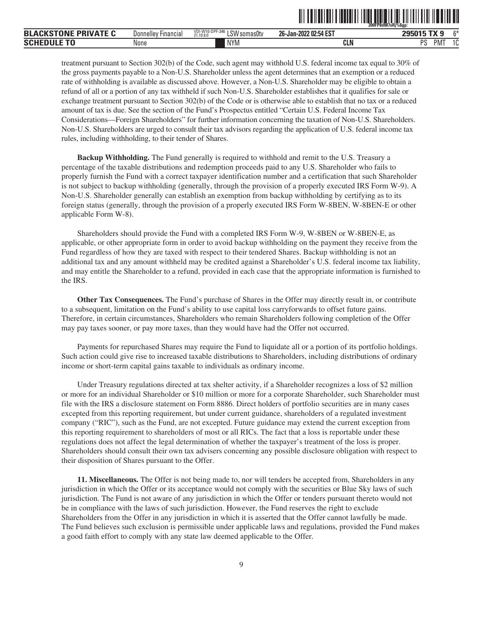|                                         |                            |                                              |                       | 200FP8dM7sRj%\$gp: |              |
|-----------------------------------------|----------------------------|----------------------------------------------|-----------------------|--------------------|--------------|
| <b>BLACK</b><br><b>KSTONE PRIVATE C</b> | <b>Donnelley Financial</b> | VDI-W10-DPF-346<br>LSW somas0tv<br>21.10.8.0 | 26-Jan-2022 02:54 EST | $-11$<br>295015    | $^{\sim}$    |
| <b>SCHEDULE</b><br>T <sub>0</sub>       | None                       | <b>NIVA</b><br>INYIV)                        | <b>CLN</b>            | nc<br><b>PM</b>    | $\sim$<br>16 |

ˆ200FP8dM7sRj%\$gp:Š **200FP8dM7sRj%\$gp:**

treatment pursuant to Section 302(b) of the Code, such agent may withhold U.S. federal income tax equal to 30% of the gross payments payable to a Non-U.S. Shareholder unless the agent determines that an exemption or a reduced rate of withholding is available as discussed above. However, a Non-U.S. Shareholder may be eligible to obtain a refund of all or a portion of any tax withheld if such Non-U.S. Shareholder establishes that it qualifies for sale or exchange treatment pursuant to Section 302(b) of the Code or is otherwise able to establish that no tax or a reduced amount of tax is due. See the section of the Fund's Prospectus entitled "Certain U.S. Federal Income Tax Considerations—Foreign Shareholders" for further information concerning the taxation of Non-U.S. Shareholders. Non-U.S. Shareholders are urged to consult their tax advisors regarding the application of U.S. federal income tax rules, including withholding, to their tender of Shares.

**Backup Withholding.** The Fund generally is required to withhold and remit to the U.S. Treasury a percentage of the taxable distributions and redemption proceeds paid to any U.S. Shareholder who fails to properly furnish the Fund with a correct taxpayer identification number and a certification that such Shareholder is not subject to backup withholding (generally, through the provision of a properly executed IRS Form W-9). A Non-U.S. Shareholder generally can establish an exemption from backup withholding by certifying as to its foreign status (generally, through the provision of a properly executed IRS Form W-8BEN, W-8BEN-E or other applicable Form W-8).

Shareholders should provide the Fund with a completed IRS Form W-9, W-8BEN or W-8BEN-E, as applicable, or other appropriate form in order to avoid backup withholding on the payment they receive from the Fund regardless of how they are taxed with respect to their tendered Shares. Backup withholding is not an additional tax and any amount withheld may be credited against a Shareholder's U.S. federal income tax liability, and may entitle the Shareholder to a refund, provided in each case that the appropriate information is furnished to the IRS.

**Other Tax Consequences.** The Fund's purchase of Shares in the Offer may directly result in, or contribute to a subsequent, limitation on the Fund's ability to use capital loss carryforwards to offset future gains. Therefore, in certain circumstances, Shareholders who remain Shareholders following completion of the Offer may pay taxes sooner, or pay more taxes, than they would have had the Offer not occurred.

Payments for repurchased Shares may require the Fund to liquidate all or a portion of its portfolio holdings. Such action could give rise to increased taxable distributions to Shareholders, including distributions of ordinary income or short-term capital gains taxable to individuals as ordinary income.

Under Treasury regulations directed at tax shelter activity, if a Shareholder recognizes a loss of \$2 million or more for an individual Shareholder or \$10 million or more for a corporate Shareholder, such Shareholder must file with the IRS a disclosure statement on Form 8886. Direct holders of portfolio securities are in many cases excepted from this reporting requirement, but under current guidance, shareholders of a regulated investment company ("RIC"), such as the Fund, are not excepted. Future guidance may extend the current exception from this reporting requirement to shareholders of most or all RICs. The fact that a loss is reportable under these regulations does not affect the legal determination of whether the taxpayer's treatment of the loss is proper. Shareholders should consult their own tax advisers concerning any possible disclosure obligation with respect to their disposition of Shares pursuant to the Offer.

**11. Miscellaneous.** The Offer is not being made to, nor will tenders be accepted from, Shareholders in any jurisdiction in which the Offer or its acceptance would not comply with the securities or Blue Sky laws of such jurisdiction. The Fund is not aware of any jurisdiction in which the Offer or tenders pursuant thereto would not be in compliance with the laws of such jurisdiction. However, the Fund reserves the right to exclude Shareholders from the Offer in any jurisdiction in which it is asserted that the Offer cannot lawfully be made. The Fund believes such exclusion is permissible under applicable laws and regulations, provided the Fund makes a good faith effort to comply with any state law deemed applicable to the Offer.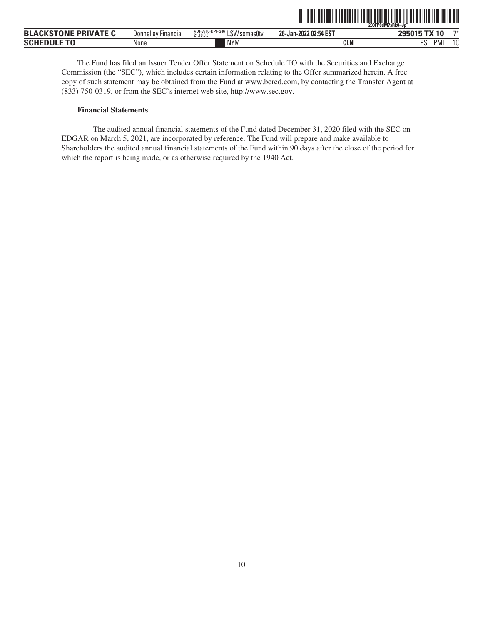|                                         |                     |                                                     | ш<br>.                | 200FP8dM7sRk0=Jp                                         |
|-----------------------------------------|---------------------|-----------------------------------------------------|-----------------------|----------------------------------------------------------|
| <b>BLACKSTONE</b><br><b>: PRIVATE C</b> | Donnelley Financial | VDI-W10-DPF-346<br>011<br>LSW somas0tv<br>21.10.8.0 | 26-Jan-2022 02:54 EST | $7*$<br>TV.<br>295015<br>$\overline{\phantom{a}}$<br>і Л |
| <b>SCHEDULE TO</b>                      | None                | <b>NYM</b>                                          | CLN                   | DC<br>$\sim$<br>РM<br>د،<br>U                            |

<u>oli tailarian filmanin tuna alam film tilara lina ila in all</u>

The Fund has filed an Issuer Tender Offer Statement on Schedule TO with the Securities and Exchange Commission (the "SEC"), which includes certain information relating to the Offer summarized herein. A free copy of such statement may be obtained from the Fund at www.bcred.com, by contacting the Transfer Agent at (833) 750-0319, or from the SEC's internet web site, http://www.sec.gov.

#### **Financial Statements**

The audited annual financial statements of the Fund dated December 31, 2020 filed with the SEC on EDGAR on March 5, 2021, are incorporated by reference. The Fund will prepare and make available to Shareholders the audited annual financial statements of the Fund within 90 days after the close of the period for which the report is being made, or as otherwise required by the 1940 Act.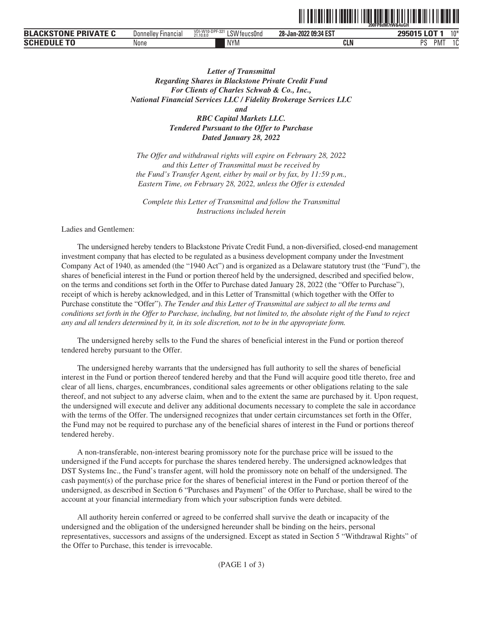|                                                  |                                      |                                                                      |                       | 200FP8dM7tW&4uGH |        |               |
|--------------------------------------------------|--------------------------------------|----------------------------------------------------------------------|-----------------------|------------------|--------|---------------|
| <b>EKSTONF</b><br><b>PRIVATE C</b><br><b>BLA</b> | $- \cdot$<br>Donnelley<br>∵⊦ınancıaı | $-W10-F$<br><b>VD</b><br>LSW feucs0nd<br>UPF-32'<br>, ,<br>21.10.8.0 | 28-Jan-2022 09:34 EST | <b>OOFOAF</b>    | $\sim$ | $10*$         |
| <b>SCHI</b>                                      | None                                 | <b>NIVA</b><br><b>INYIV</b>                                          | <b>CLN</b>            | DС<br>ັ          | PM.    | $\sim$<br>، ب |

**THE FRIED FROM THE UGHT IN THE UGHT IN THE UGHT IN** 

*Letter of Transmittal Regarding Shares in Blackstone Private Credit Fund For Clients of Charles Schwab & Co., Inc., National Financial Services LLC / Fidelity Brokerage Services LLC and RBC Capital Markets LLC. Tendered Pursuant to the Offer to Purchase Dated January 28, 2022*

*The Offer and withdrawal rights will expire on February 28, 2022 and this Letter of Transmittal must be received by the Fund's Transfer Agent, either by mail or by fax, by 11:59 p.m., Eastern Time, on February 28, 2022, unless the Offer is extended*

*Complete this Letter of Transmittal and follow the Transmittal Instructions included herein*

Ladies and Gentlemen:

The undersigned hereby tenders to Blackstone Private Credit Fund, a non-diversified, closed-end management investment company that has elected to be regulated as a business development company under the Investment Company Act of 1940, as amended (the "1940 Act") and is organized as a Delaware statutory trust (the "Fund"), the shares of beneficial interest in the Fund or portion thereof held by the undersigned, described and specified below, on the terms and conditions set forth in the Offer to Purchase dated January 28, 2022 (the "Offer to Purchase"), receipt of which is hereby acknowledged, and in this Letter of Transmittal (which together with the Offer to Purchase constitute the "Offer"). *The Tender and this Letter of Transmittal are subject to all the terms and conditions set forth in the Offer to Purchase, including, but not limited to, the absolute right of the Fund to reject any and all tenders determined by it, in its sole discretion, not to be in the appropriate form.*

The undersigned hereby sells to the Fund the shares of beneficial interest in the Fund or portion thereof tendered hereby pursuant to the Offer.

The undersigned hereby warrants that the undersigned has full authority to sell the shares of beneficial interest in the Fund or portion thereof tendered hereby and that the Fund will acquire good title thereto, free and clear of all liens, charges, encumbrances, conditional sales agreements or other obligations relating to the sale thereof, and not subject to any adverse claim, when and to the extent the same are purchased by it. Upon request, the undersigned will execute and deliver any additional documents necessary to complete the sale in accordance with the terms of the Offer. The undersigned recognizes that under certain circumstances set forth in the Offer, the Fund may not be required to purchase any of the beneficial shares of interest in the Fund or portions thereof tendered hereby.

A non-transferable, non-interest bearing promissory note for the purchase price will be issued to the undersigned if the Fund accepts for purchase the shares tendered hereby. The undersigned acknowledges that DST Systems Inc., the Fund's transfer agent, will hold the promissory note on behalf of the undersigned. The cash payment(s) of the purchase price for the shares of beneficial interest in the Fund or portion thereof of the undersigned, as described in Section 6 "Purchases and Payment" of the Offer to Purchase, shall be wired to the account at your financial intermediary from which your subscription funds were debited.

All authority herein conferred or agreed to be conferred shall survive the death or incapacity of the undersigned and the obligation of the undersigned hereunder shall be binding on the heirs, personal representatives, successors and assigns of the undersigned. Except as stated in Section 5 "Withdrawal Rights" of the Offer to Purchase, this tender is irrevocable.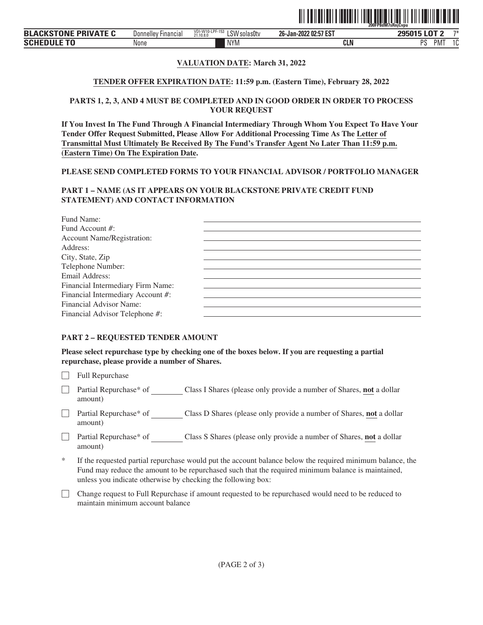

#### **SCHEDULE TO** NYM **CLN** PS **None PMT**

# **VALUATION DATE: March 31, 2022**

## **TENDER OFFER EXPIRATION DATE: 11:59 p.m. (Eastern Time), February 28, 2022**

#### **PARTS 1, 2, 3, AND 4 MUST BE COMPLETED AND IN GOOD ORDER IN ORDER TO PROCESS YOUR REQUEST**

**If You Invest In The Fund Through A Financial Intermediary Through Whom You Expect To Have Your Tender Offer Request Submitted, Please Allow For Additional Processing Time As The Letter of Transmittal Must Ultimately Be Received By The Fund's Transfer Agent No Later Than 11:59 p.m. (Eastern Time) On The Expiration Date.**

#### **PLEASE SEND COMPLETED FORMS TO YOUR FINANCIAL ADVISOR / PORTFOLIO MANAGER**

# **PART 1 – NAME (AS IT APPEARS ON YOUR BLACKSTONE PRIVATE CREDIT FUND STATEMENT) AND CONTACT INFORMATION**

| Fund Name:                        |  |
|-----------------------------------|--|
| Fund Account #:                   |  |
| Account Name/Registration:        |  |
| Address:                          |  |
| City, State, Zip                  |  |
| Telephone Number:                 |  |
| Email Address:                    |  |
| Financial Intermediary Firm Name: |  |
| Financial Intermediary Account #: |  |
| Financial Advisor Name:           |  |
| Financial Advisor Telephone #:    |  |
|                                   |  |

# **PART 2 – REQUESTED TENDER AMOUNT**

**Please select repurchase type by checking one of the boxes below. If you are requesting a partial repurchase, please provide a number of Shares.**

 $\Box$  Full Repurchase

- ' Partial Repurchase\* of Class I Shares (please only provide a number of Shares, **not** a dollar amount)
- □ Partial Repurchase\* of Class D Shares (please only provide a number of Shares, **not** a dollar amount)
- ' Partial Repurchase\* of Class S Shares (please only provide a number of Shares, **not** a dollar amount)
- If the requested partial repurchase would put the account balance below the required minimum balance, the Fund may reduce the amount to be repurchased such that the required minimum balance is maintained, unless you indicate otherwise by checking the following box:
- ' Change request to Full Repurchase if amount requested to be repurchased would need to be reduced to maintain minimum account balance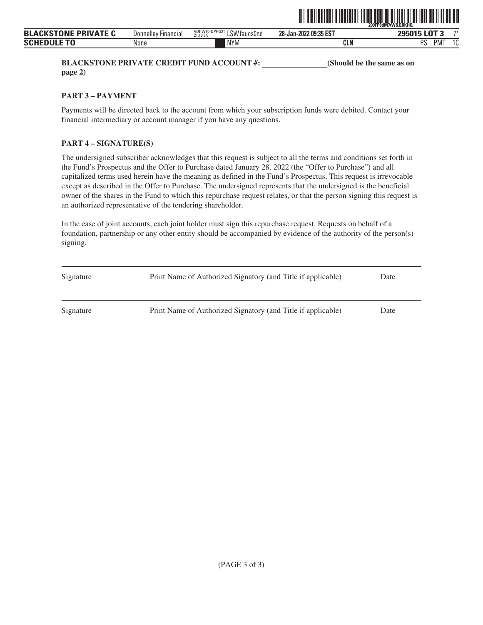

**BLACKSTONE PRIVATE CREDIT FUND ACCOUNT #:** (Should be the same as on **page 2)**

#### **PART 3 – PAYMENT**

Payments will be directed back to the account from which your subscription funds were debited. Contact your financial intermediary or account manager if you have any questions.

# **PART 4 – SIGNATURE(S)**

The undersigned subscriber acknowledges that this request is subject to all the terms and conditions set forth in the Fund's Prospectus and the Offer to Purchase dated January 28, 2022 (the "Offer to Purchase") and all capitalized terms used herein have the meaning as defined in the Fund's Prospectus. This request is irrevocable except as described in the Offer to Purchase. The undersigned represents that the undersigned is the beneficial owner of the shares in the Fund to which this repurchase request relates, or that the person signing this request is an authorized representative of the tendering shareholder.

| Signature | Print Name of Authorized Signatory (and Title if applicable) | Date |
|-----------|--------------------------------------------------------------|------|
| Signature | Print Name of Authorized Signatory (and Title if applicable) | Date |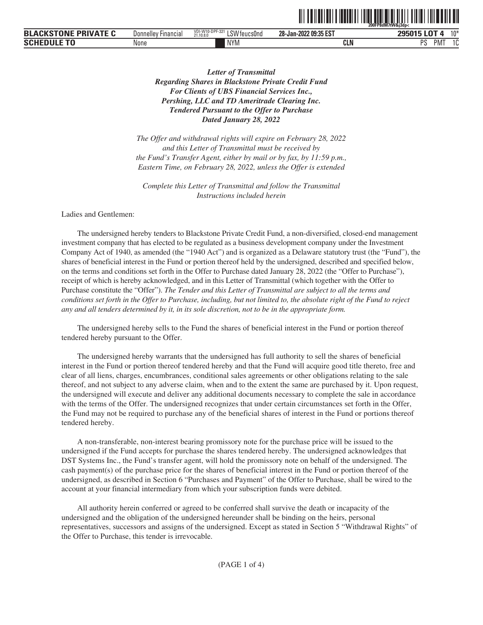|                                                                                      |                                    |                                                             |                       | ------ -----------<br>iFP8dM7tW&i3dp<<br>200 <sup>2</sup><br>ZUU |
|--------------------------------------------------------------------------------------|------------------------------------|-------------------------------------------------------------|-----------------------|------------------------------------------------------------------|
| <b>-0.15</b><br>,,,,, <del>,</del> ,<br><b>DD</b><br><b>BLA</b><br>$\mathbf{v}$<br>Ð | $\sim$<br>' Financial<br>Donnelley | VDI-W10-DPF-321<br>0111<br>'V teucsOno<br>∟ఎ∨⊻<br>21,10,8,0 | 28-Jan-2022 09:35 EST | $-$<br>40x                                                       |
| SCI                                                                                  | None                               | <b>NYM</b>                                                  | ---<br>nı.<br>-GLN    | DС<br>$\ddot{\phantom{1}}$<br>IVI<br>л.<br>u                     |

<u>îlî de hemar de hemar di navçeya de hemar di navçeya de hemar di navçeya di navçeya di navçeya di navçeya di n</u>

*Letter of Transmittal Regarding Shares in Blackstone Private Credit Fund For Clients of UBS Financial Services Inc., Pershing, LLC and TD Ameritrade Clearing Inc. Tendered Pursuant to the Offer to Purchase Dated January 28, 2022*

*The Offer and withdrawal rights will expire on February 28, 2022 and this Letter of Transmittal must be received by the Fund's Transfer Agent, either by mail or by fax, by 11:59 p.m., Eastern Time, on February 28, 2022, unless the Offer is extended*

*Complete this Letter of Transmittal and follow the Transmittal Instructions included herein*

Ladies and Gentlemen:

The undersigned hereby tenders to Blackstone Private Credit Fund, a non-diversified, closed-end management investment company that has elected to be regulated as a business development company under the Investment Company Act of 1940, as amended (the "1940 Act") and is organized as a Delaware statutory trust (the "Fund"), the shares of beneficial interest in the Fund or portion thereof held by the undersigned, described and specified below, on the terms and conditions set forth in the Offer to Purchase dated January 28, 2022 (the "Offer to Purchase"), receipt of which is hereby acknowledged, and in this Letter of Transmittal (which together with the Offer to Purchase constitute the "Offer"). *The Tender and this Letter of Transmittal are subject to all the terms and conditions set forth in the Offer to Purchase, including, but not limited to, the absolute right of the Fund to reject any and all tenders determined by it, in its sole discretion, not to be in the appropriate form.*

The undersigned hereby sells to the Fund the shares of beneficial interest in the Fund or portion thereof tendered hereby pursuant to the Offer.

The undersigned hereby warrants that the undersigned has full authority to sell the shares of beneficial interest in the Fund or portion thereof tendered hereby and that the Fund will acquire good title thereto, free and clear of all liens, charges, encumbrances, conditional sales agreements or other obligations relating to the sale thereof, and not subject to any adverse claim, when and to the extent the same are purchased by it. Upon request, the undersigned will execute and deliver any additional documents necessary to complete the sale in accordance with the terms of the Offer. The undersigned recognizes that under certain circumstances set forth in the Offer, the Fund may not be required to purchase any of the beneficial shares of interest in the Fund or portions thereof tendered hereby.

A non-transferable, non-interest bearing promissory note for the purchase price will be issued to the undersigned if the Fund accepts for purchase the shares tendered hereby. The undersigned acknowledges that DST Systems Inc., the Fund's transfer agent, will hold the promissory note on behalf of the undersigned. The cash payment(s) of the purchase price for the shares of beneficial interest in the Fund or portion thereof of the undersigned, as described in Section 6 "Purchases and Payment" of the Offer to Purchase, shall be wired to the account at your financial intermediary from which your subscription funds were debited.

All authority herein conferred or agreed to be conferred shall survive the death or incapacity of the undersigned and the obligation of the undersigned hereunder shall be binding on the heirs, personal representatives, successors and assigns of the undersigned. Except as stated in Section 5 "Withdrawal Rights" of the Offer to Purchase, this tender is irrevocable.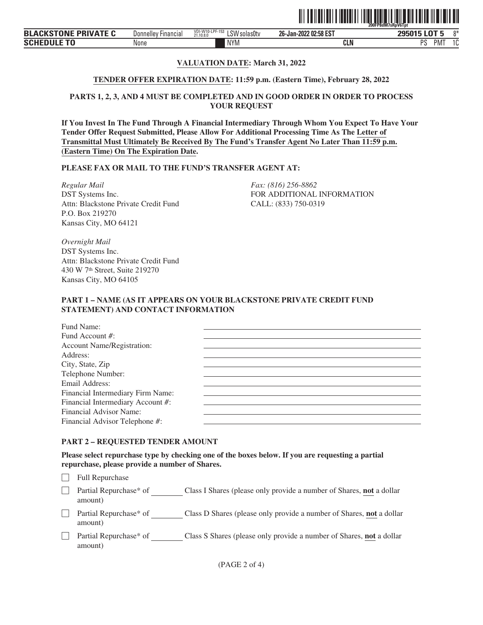

# **VALUATION DATE: March 31, 2022**

## **TENDER OFFER EXPIRATION DATE: 11:59 p.m. (Eastern Time), February 28, 2022**

## **PARTS 1, 2, 3, AND 4 MUST BE COMPLETED AND IN GOOD ORDER IN ORDER TO PROCESS YOUR REQUEST**

**If You Invest In The Fund Through A Financial Intermediary Through Whom You Expect To Have Your Tender Offer Request Submitted, Please Allow For Additional Processing Time As The Letter of Transmittal Must Ultimately Be Received By The Fund's Transfer Agent No Later Than 11:59 p.m. (Eastern Time) On The Expiration Date.**

## **PLEASE FAX OR MAIL TO THE FUND'S TRANSFER AGENT AT:**

*Regular Mail Fax: (816) 256-8862* DST Systems Inc. Attn: Blackstone Private Credit Fund P.O. Box 219270 Kansas City, MO 64121

FOR ADDITIONAL INFORMATION CALL: (833) 750-0319

*Overnight Mail* DST Systems Inc. Attn: Blackstone Private Credit Fund 430 W 7th Street, Suite 219270 Kansas City, MO 64105

## **PART 1 – NAME (AS IT APPEARS ON YOUR BLACKSTONE PRIVATE CREDIT FUND STATEMENT) AND CONTACT INFORMATION**

| Fund Name:                        |  |
|-----------------------------------|--|
| Fund Account #:                   |  |
| <b>Account Name/Registration:</b> |  |
| Address:                          |  |
| City, State, Zip                  |  |
| Telephone Number:                 |  |
| Email Address:                    |  |
| Financial Intermediary Firm Name: |  |
| Financial Intermediary Account #: |  |
| Financial Advisor Name:           |  |
| Financial Advisor Telephone #:    |  |
|                                   |  |

# **PART 2 – REQUESTED TENDER AMOUNT**

**Please select repurchase type by checking one of the boxes below. If you are requesting a partial repurchase, please provide a number of Shares.**

 $\Box$  Full Repurchase

□ Partial Repurchase\* of Class I Shares (please only provide a number of Shares, **not** a dollar amount)

- ' Partial Repurchase\* of Class D Shares (please only provide a number of Shares, **not** a dollar amount)
- **Partial Repurchase\*** of Class S Shares (please only provide a number of Shares, **not** a dollar amount)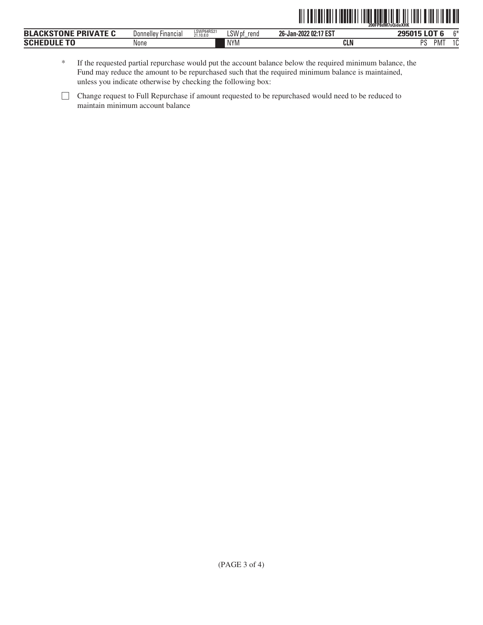|                             |                            |                         |                | ∭<br><b>TERRITH THE TITLE</b> | W<br>200FP8dM7sQideXHK     |
|-----------------------------|----------------------------|-------------------------|----------------|-------------------------------|----------------------------|
| <b>BLACKSTONE PRIVATE C</b> | <b>Donnelley Financial</b> | LSWP64RS21<br>21.10.8.0 | LSW pf<br>rend | 26-Jan-2022 02:17 EST         | 295015 LOT 6<br><b>ድ</b> * |
| <b>SCHEDULE TO</b>          | None                       |                         | <b>NYM</b>     | CLN                           | <b>PMT</b><br>PS           |

| If the requested partial repurchase would put the account balance below the required minimum balance, the |
|-----------------------------------------------------------------------------------------------------------|
| Fund may reduce the amount to be repurchased such that the required minimum balance is maintained,        |
| unless you indicate otherwise by checking the following box:                                              |

<sup>&#</sup>x27; Change request to Full Repurchase if amount requested to be repurchased would need to be reduced to maintain minimum account balance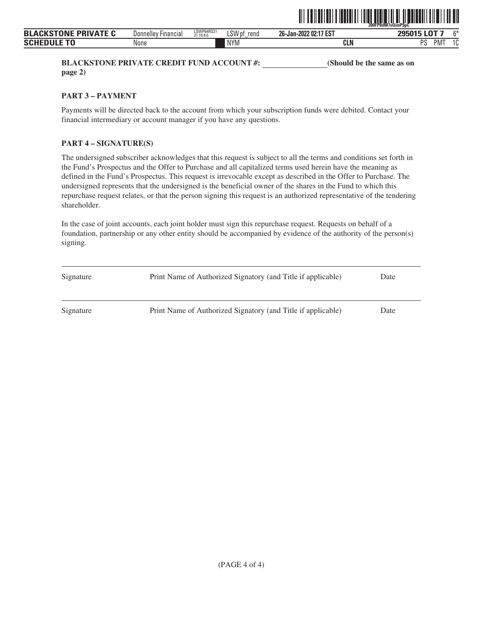

**BLACKSTONE PRIVATE CREDIT FUND ACCOUNT #:** (Should be the same as on **page 2)**

**PART 3 – PAYMENT**

Payments will be directed back to the account from which your subscription funds were debited. Contact your financial intermediary or account manager if you have any questions.

# **PART 4 – SIGNATURE(S)**

The undersigned subscriber acknowledges that this request is subject to all the terms and conditions set forth in the Fund's Prospectus and the Offer to Purchase and all capitalized terms used herein have the meaning as defined in the Fund's Prospectus. This request is irrevocable except as described in the Offer to Purchase. The undersigned represents that the undersigned is the beneficial owner of the shares in the Fund to which this repurchase request relates, or that the person signing this request is an authorized representative of the tendering shareholder.

| Signature | Print Name of Authorized Signatory (and Title if applicable) | Date |
|-----------|--------------------------------------------------------------|------|
| Signature | Print Name of Authorized Signatory (and Title if applicable) | Date |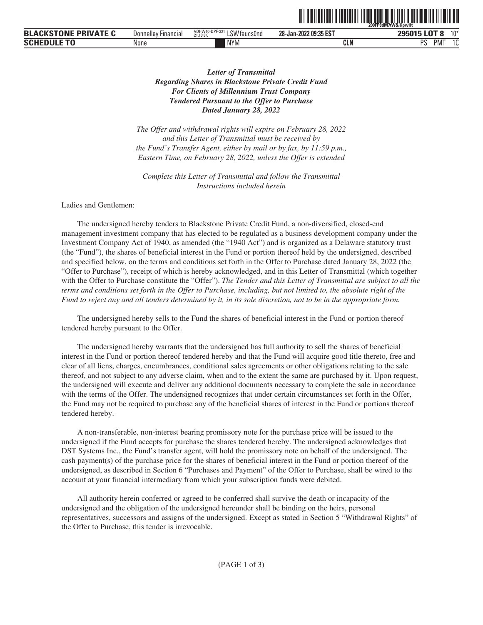|                                            |                            |                                                                               |                       | -------------------------<br>200FP8dM7tW&@pwHt |
|--------------------------------------------|----------------------------|-------------------------------------------------------------------------------|-----------------------|------------------------------------------------|
| : DDIVATE C<br><b>BLACKSTONE</b><br>75 I V | ' Financial<br>Donnelley F | VDI-W1<br>$0.005321 + 1.$<br>0181<br>'''-UPF-321<br>LSW feucs0nd<br>21.10.8.0 | 28-Jan-2022 09:35 EST | 10 <sup>3</sup><br><b>OOEN1E</b><br>u          |
| <b>SCHEDULE TO</b>                         | None                       | <b>NYM</b>                                                                    | CLN                   | DС<br>$\overline{10}$<br>'IVI<br>- പ<br>u      |

TII TUNTIINIIN TUNTIINIIN TUNTIINIIN TUNTIIN

# *Letter of Transmittal Regarding Shares in Blackstone Private Credit Fund For Clients of Millennium Trust Company Tendered Pursuant to the Offer to Purchase Dated January 28, 2022*

*The Offer and withdrawal rights will expire on February 28, 2022 and this Letter of Transmittal must be received by the Fund's Transfer Agent, either by mail or by fax, by 11:59 p.m., Eastern Time, on February 28, 2022, unless the Offer is extended*

*Complete this Letter of Transmittal and follow the Transmittal Instructions included herein*

Ladies and Gentlemen:

The undersigned hereby tenders to Blackstone Private Credit Fund, a non-diversified, closed-end management investment company that has elected to be regulated as a business development company under the Investment Company Act of 1940, as amended (the "1940 Act") and is organized as a Delaware statutory trust (the "Fund"), the shares of beneficial interest in the Fund or portion thereof held by the undersigned, described and specified below, on the terms and conditions set forth in the Offer to Purchase dated January 28, 2022 (the "Offer to Purchase"), receipt of which is hereby acknowledged, and in this Letter of Transmittal (which together with the Offer to Purchase constitute the "Offer"). *The Tender and this Letter of Transmittal are subject to all the terms and conditions set forth in the Offer to Purchase, including, but not limited to, the absolute right of the Fund to reject any and all tenders determined by it, in its sole discretion, not to be in the appropriate form.*

The undersigned hereby sells to the Fund the shares of beneficial interest in the Fund or portion thereof tendered hereby pursuant to the Offer.

The undersigned hereby warrants that the undersigned has full authority to sell the shares of beneficial interest in the Fund or portion thereof tendered hereby and that the Fund will acquire good title thereto, free and clear of all liens, charges, encumbrances, conditional sales agreements or other obligations relating to the sale thereof, and not subject to any adverse claim, when and to the extent the same are purchased by it. Upon request, the undersigned will execute and deliver any additional documents necessary to complete the sale in accordance with the terms of the Offer. The undersigned recognizes that under certain circumstances set forth in the Offer, the Fund may not be required to purchase any of the beneficial shares of interest in the Fund or portions thereof tendered hereby.

A non-transferable, non-interest bearing promissory note for the purchase price will be issued to the undersigned if the Fund accepts for purchase the shares tendered hereby. The undersigned acknowledges that DST Systems Inc., the Fund's transfer agent, will hold the promissory note on behalf of the undersigned. The cash payment(s) of the purchase price for the shares of beneficial interest in the Fund or portion thereof of the undersigned, as described in Section 6 "Purchases and Payment" of the Offer to Purchase, shall be wired to the account at your financial intermediary from which your subscription funds were debited.

All authority herein conferred or agreed to be conferred shall survive the death or incapacity of the undersigned and the obligation of the undersigned hereunder shall be binding on the heirs, personal representatives, successors and assigns of the undersigned. Except as stated in Section 5 "Withdrawal Rights" of the Offer to Purchase, this tender is irrevocable.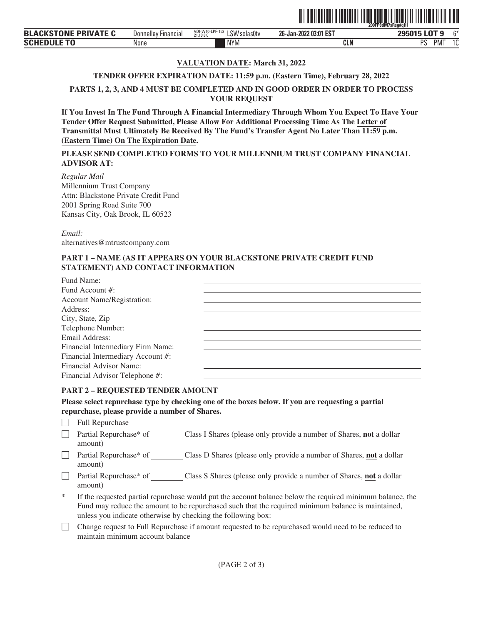|                                                  |                                           |                                                          | - - -  -- . -- . - . - -- - . - . | 200FP8dM7sRsq#aHI                                   |         |
|--------------------------------------------------|-------------------------------------------|----------------------------------------------------------|-----------------------------------|-----------------------------------------------------|---------|
| <b>TABLE</b><br><b>BLA</b><br><b>DDI</b><br>וואו | -<br><b>Hinancial</b><br><b>Donnelley</b> | <b>IDE 153</b><br>VDI-W1<br>LSW<br>solasütv<br>21.10.8.0 | 2 03:01 EST<br>26-Jan-2022        | 1070<br>----                                        | $\sim$  |
| <b>SCHI</b><br>u                                 | None                                      | <b>NYM</b>                                               | <b>CLN</b>                        | <sub>D</sub> <sub>C</sub><br>PM <sup>-</sup><br>. . | ໍດ<br>L |

ˆ200FP8dM7sRsg#qHlŠ

# **VALUATION DATE: March 31, 2022**

# **TENDER OFFER EXPIRATION DATE: 11:59 p.m. (Eastern Time), February 28, 2022**

**PARTS 1, 2, 3, AND 4 MUST BE COMPLETED AND IN GOOD ORDER IN ORDER TO PROCESS YOUR REQUEST**

**If You Invest In The Fund Through A Financial Intermediary Through Whom You Expect To Have Your Tender Offer Request Submitted, Please Allow For Additional Processing Time As The Letter of Transmittal Must Ultimately Be Received By The Fund's Transfer Agent No Later Than 11:59 p.m. (Eastern Time) On The Expiration Date.**

**PLEASE SEND COMPLETED FORMS TO YOUR MILLENNIUM TRUST COMPANY FINANCIAL ADVISOR AT:**

*Regular Mail* Millennium Trust Company Attn: Blackstone Private Credit Fund 2001 Spring Road Suite 700 Kansas City, Oak Brook, IL 60523

*Email:* alternatives@mtrustcompany.com

# **PART 1 – NAME (AS IT APPEARS ON YOUR BLACKSTONE PRIVATE CREDIT FUND STATEMENT) AND CONTACT INFORMATION**

| Fund Name:                        |  |
|-----------------------------------|--|
| Fund Account #:                   |  |
| <b>Account Name/Registration:</b> |  |
| Address:                          |  |
| City, State, Zip                  |  |
| Telephone Number:                 |  |
| Email Address:                    |  |
| Financial Intermediary Firm Name: |  |
| Financial Intermediary Account #: |  |
| Financial Advisor Name:           |  |
| Financial Advisor Telephone #:    |  |

# **PART 2 – REQUESTED TENDER AMOUNT**

**Please select repurchase type by checking one of the boxes below. If you are requesting a partial repurchase, please provide a number of Shares.**

- $\Box$  Full Repurchase
- □ Partial Repurchase\* of Class I Shares (please only provide a number of Shares, **not** a dollar amount)
- □ Partial Repurchase\* of Class D Shares (please only provide a number of Shares, not a dollar amount)
- ' Partial Repurchase\* of Class S Shares (please only provide a number of Shares, **not** a dollar amount)
- If the requested partial repurchase would put the account balance below the required minimum balance, the Fund may reduce the amount to be repurchased such that the required minimum balance is maintained, unless you indicate otherwise by checking the following box:
- ' Change request to Full Repurchase if amount requested to be repurchased would need to be reduced to maintain minimum account balance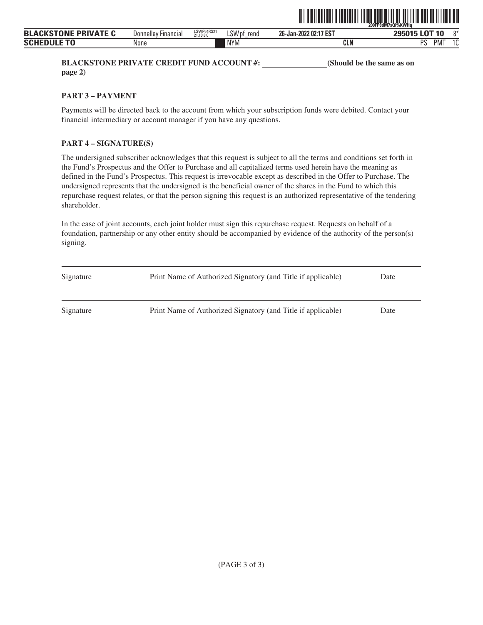|                             |                     |                         |                | <b>IIII IIII</b><br><b>TITLE</b> | <u> IIII DEI III III III DEI</u><br>III<br>200FP8dM7sQi%KWHa |
|-----------------------------|---------------------|-------------------------|----------------|----------------------------------|--------------------------------------------------------------|
| <b>BLACKSTONE PRIVATE C</b> | Donnelley Financial | LSWP64RS21<br>21.10.8.0 | LSW pf<br>rend | 26-Jan-2022 02:17 EST            | 295015 LOT 10<br>0*                                          |
| <b>SCHEDULE TO</b>          | None                |                         | <b>NYM</b>     | <b>CLN</b>                       | PS<br>$\sim$<br>PM <sup>-</sup><br>ιu                        |

**BLACKSTONE PRIVATE CREDIT FUND ACCOUNT #:** (Should be the same as on **page 2)**

**PART 3 – PAYMENT**

Payments will be directed back to the account from which your subscription funds were debited. Contact your financial intermediary or account manager if you have any questions.

# **PART 4 – SIGNATURE(S)**

The undersigned subscriber acknowledges that this request is subject to all the terms and conditions set forth in the Fund's Prospectus and the Offer to Purchase and all capitalized terms used herein have the meaning as defined in the Fund's Prospectus. This request is irrevocable except as described in the Offer to Purchase. The undersigned represents that the undersigned is the beneficial owner of the shares in the Fund to which this repurchase request relates, or that the person signing this request is an authorized representative of the tendering shareholder.

| Signature | Print Name of Authorized Signatory (and Title if applicable) | Date |
|-----------|--------------------------------------------------------------|------|
| Signature | Print Name of Authorized Signatory (and Title if applicable) | Date |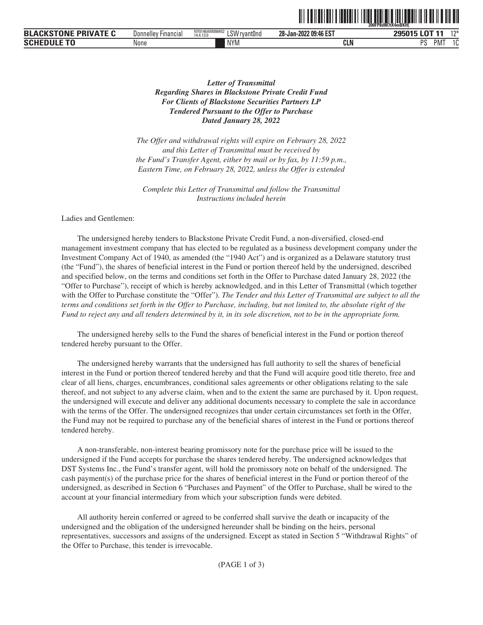|                                         |                          |                                                            |                       | 200FP8dM7tX4mBKH             |
|-----------------------------------------|--------------------------|------------------------------------------------------------|-----------------------|------------------------------|
| <b>TONE PRIVATE L</b><br><b>BLACKST</b> | ' Financial<br>Donnelley | NY0146AM098452<br>1.011<br>'rvant0nd<br>-NV -<br>14.4.13.0 | 28-Jan-2022 09:46 EST | 12<br>295015 LOT 11          |
| <b>SCHEDUL</b>                          | None                     | <b>NYM</b>                                                 | <b>CLN</b>            | <b>DC</b><br>.<br>IVI<br>ن َ |

**TITLE AND RELEASED FROM THE USE OF A SERVICE AND A SERVICE AND INTERFERING AND RELEASED FROM THE USE OF A SER** 

# *Letter of Transmittal Regarding Shares in Blackstone Private Credit Fund For Clients of Blackstone Securities Partners LP Tendered Pursuant to the Offer to Purchase Dated January 28, 2022*

*The Offer and withdrawal rights will expire on February 28, 2022 and this Letter of Transmittal must be received by the Fund's Transfer Agent, either by mail or by fax, by 11:59 p.m., Eastern Time, on February 28, 2022, unless the Offer is extended*

*Complete this Letter of Transmittal and follow the Transmittal Instructions included herein*

Ladies and Gentlemen:

The undersigned hereby tenders to Blackstone Private Credit Fund, a non-diversified, closed-end management investment company that has elected to be regulated as a business development company under the Investment Company Act of 1940, as amended (the "1940 Act") and is organized as a Delaware statutory trust (the "Fund"), the shares of beneficial interest in the Fund or portion thereof held by the undersigned, described and specified below, on the terms and conditions set forth in the Offer to Purchase dated January 28, 2022 (the "Offer to Purchase"), receipt of which is hereby acknowledged, and in this Letter of Transmittal (which together with the Offer to Purchase constitute the "Offer"). *The Tender and this Letter of Transmittal are subject to all the terms and conditions set forth in the Offer to Purchase, including, but not limited to, the absolute right of the Fund to reject any and all tenders determined by it, in its sole discretion, not to be in the appropriate form.*

The undersigned hereby sells to the Fund the shares of beneficial interest in the Fund or portion thereof tendered hereby pursuant to the Offer.

The undersigned hereby warrants that the undersigned has full authority to sell the shares of beneficial interest in the Fund or portion thereof tendered hereby and that the Fund will acquire good title thereto, free and clear of all liens, charges, encumbrances, conditional sales agreements or other obligations relating to the sale thereof, and not subject to any adverse claim, when and to the extent the same are purchased by it. Upon request, the undersigned will execute and deliver any additional documents necessary to complete the sale in accordance with the terms of the Offer. The undersigned recognizes that under certain circumstances set forth in the Offer, the Fund may not be required to purchase any of the beneficial shares of interest in the Fund or portions thereof tendered hereby.

A non-transferable, non-interest bearing promissory note for the purchase price will be issued to the undersigned if the Fund accepts for purchase the shares tendered hereby. The undersigned acknowledges that DST Systems Inc., the Fund's transfer agent, will hold the promissory note on behalf of the undersigned. The cash payment(s) of the purchase price for the shares of beneficial interest in the Fund or portion thereof of the undersigned, as described in Section 6 "Purchases and Payment" of the Offer to Purchase, shall be wired to the account at your financial intermediary from which your subscription funds were debited.

All authority herein conferred or agreed to be conferred shall survive the death or incapacity of the undersigned and the obligation of the undersigned hereunder shall be binding on the heirs, personal representatives, successors and assigns of the undersigned. Except as stated in Section 5 "Withdrawal Rights" of the Offer to Purchase, this tender is irrevocable.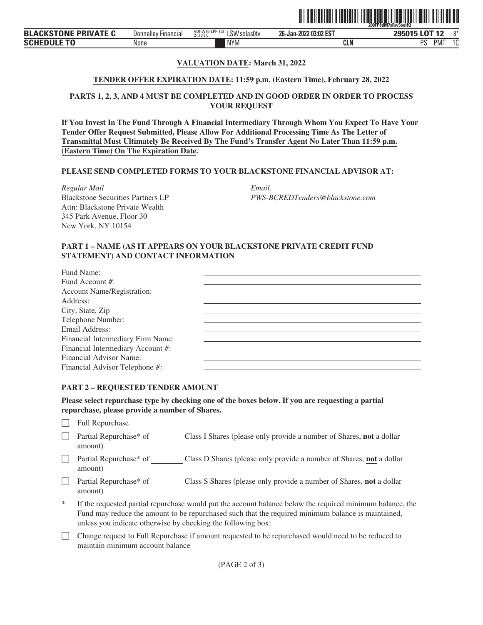

# **VALUATION DATE: March 31, 2022**

#### **TENDER OFFER EXPIRATION DATE: 11:59 p.m. (Eastern Time), February 28, 2022**

## **PARTS 1, 2, 3, AND 4 MUST BE COMPLETED AND IN GOOD ORDER IN ORDER TO PROCESS YOUR REQUEST**

**If You Invest In The Fund Through A Financial Intermediary Through Whom You Expect To Have Your Tender Offer Request Submitted, Please Allow For Additional Processing Time As The Letter of Transmittal Must Ultimately Be Received By The Fund's Transfer Agent No Later Than 11:59 p.m. (Eastern Time) On The Expiration Date.**

## **PLEASE SEND COMPLETED FORMS TO YOUR BLACKSTONE FINANCIAL ADVISOR AT:**

*Regular Mail Email* Blackstone Securities Partners LP Attn: Blackstone Private Wealth 345 Park Avenue, Floor 30 New York, NY 10154

*PWS-BCREDTenders@blackstone.com*

#### **PART 1 – NAME (AS IT APPEARS ON YOUR BLACKSTONE PRIVATE CREDIT FUND STATEMENT) AND CONTACT INFORMATION**

| Fund Name:                        |  |
|-----------------------------------|--|
| Fund Account #:                   |  |
| <b>Account Name/Registration:</b> |  |
| Address:                          |  |
| City, State, Zip                  |  |
| Telephone Number:                 |  |
| Email Address:                    |  |
| Financial Intermediary Firm Name: |  |
| Financial Intermediary Account #: |  |
| Financial Advisor Name:           |  |
| Financial Advisor Telephone #:    |  |

#### **PART 2 – REQUESTED TENDER AMOUNT**

**Please select repurchase type by checking one of the boxes below. If you are requesting a partial repurchase, please provide a number of Shares.**

- $\Box$  Full Repurchase
- ' Partial Repurchase\* of Class I Shares (please only provide a number of Shares, **not** a dollar amount)
- ' Partial Repurchase\* of Class D Shares (please only provide a number of Shares, **not** a dollar amount)
- □ Partial Repurchase\* of Class S Shares (please only provide a number of Shares, **not** a dollar amount)
- If the requested partial repurchase would put the account balance below the required minimum balance, the Fund may reduce the amount to be repurchased such that the required minimum balance is maintained, unless you indicate otherwise by checking the following box:
- ' Change request to Full Repurchase if amount requested to be repurchased would need to be reduced to maintain minimum account balance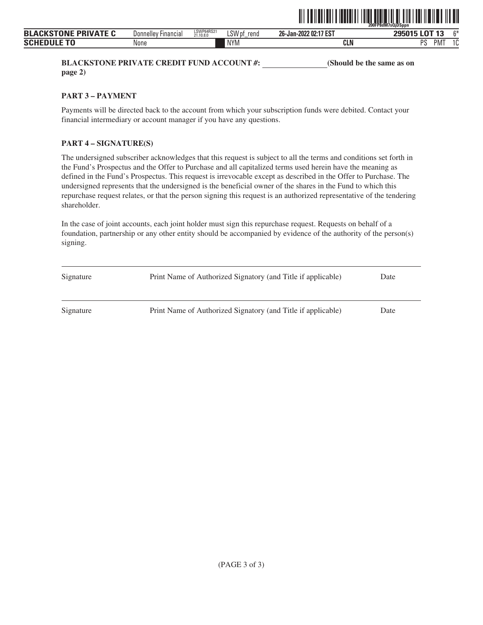

**BLACKSTONE PRIVATE CREDIT FUND ACCOUNT #:** (Should be the same as on **page 2)**

**PART 3 – PAYMENT**

Payments will be directed back to the account from which your subscription funds were debited. Contact your financial intermediary or account manager if you have any questions.

# **PART 4 – SIGNATURE(S)**

The undersigned subscriber acknowledges that this request is subject to all the terms and conditions set forth in the Fund's Prospectus and the Offer to Purchase and all capitalized terms used herein have the meaning as defined in the Fund's Prospectus. This request is irrevocable except as described in the Offer to Purchase. The undersigned represents that the undersigned is the beneficial owner of the shares in the Fund to which this repurchase request relates, or that the person signing this request is an authorized representative of the tendering shareholder.

| Signature | Print Name of Authorized Signatory (and Title if applicable) | Date |
|-----------|--------------------------------------------------------------|------|
| Signature | Print Name of Authorized Signatory (and Title if applicable) | Date |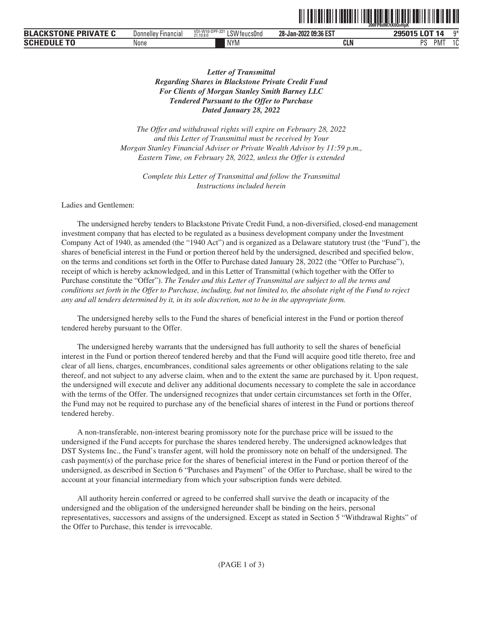|                             |                     |                                              |                       | 200FP8dM7tX0QvHpK                                             |
|-----------------------------|---------------------|----------------------------------------------|-----------------------|---------------------------------------------------------------|
| <b>BLACKSTONE PRIVATE C</b> | Donnelley Financial | VDI-W10-DPF-321<br>LSW feucs0nd<br>21.10.8.0 | 28-Jan-2022 09:36 EST | 295015 LOT 14<br>n*                                           |
| <b>SCHEDULE</b>             | None                | <b>NYM</b>                                   | <b>CLN</b>            | <sub>D</sub> <sub>C</sub><br>$\overline{10}$<br>PM<br>د،<br>v |

<u>oli toimalisti tuotelli loittamalainen oli toimallisuuttamal</u>

# *Letter of Transmittal Regarding Shares in Blackstone Private Credit Fund For Clients of Morgan Stanley Smith Barney LLC Tendered Pursuant to the Offer to Purchase Dated January 28, 2022*

*The Offer and withdrawal rights will expire on February 28, 2022 and this Letter of Transmittal must be received by Your Morgan Stanley Financial Adviser or Private Wealth Advisor by 11:59 p.m., Eastern Time, on February 28, 2022, unless the Offer is extended*

*Complete this Letter of Transmittal and follow the Transmittal Instructions included herein*

Ladies and Gentlemen:

The undersigned hereby tenders to Blackstone Private Credit Fund, a non-diversified, closed-end management investment company that has elected to be regulated as a business development company under the Investment Company Act of 1940, as amended (the "1940 Act") and is organized as a Delaware statutory trust (the "Fund"), the shares of beneficial interest in the Fund or portion thereof held by the undersigned, described and specified below, on the terms and conditions set forth in the Offer to Purchase dated January 28, 2022 (the "Offer to Purchase"), receipt of which is hereby acknowledged, and in this Letter of Transmittal (which together with the Offer to Purchase constitute the "Offer"). *The Tender and this Letter of Transmittal are subject to all the terms and conditions set forth in the Offer to Purchase, including, but not limited to, the absolute right of the Fund to reject any and all tenders determined by it, in its sole discretion, not to be in the appropriate form.*

The undersigned hereby sells to the Fund the shares of beneficial interest in the Fund or portion thereof tendered hereby pursuant to the Offer.

The undersigned hereby warrants that the undersigned has full authority to sell the shares of beneficial interest in the Fund or portion thereof tendered hereby and that the Fund will acquire good title thereto, free and clear of all liens, charges, encumbrances, conditional sales agreements or other obligations relating to the sale thereof, and not subject to any adverse claim, when and to the extent the same are purchased by it. Upon request, the undersigned will execute and deliver any additional documents necessary to complete the sale in accordance with the terms of the Offer. The undersigned recognizes that under certain circumstances set forth in the Offer, the Fund may not be required to purchase any of the beneficial shares of interest in the Fund or portions thereof tendered hereby.

A non-transferable, non-interest bearing promissory note for the purchase price will be issued to the undersigned if the Fund accepts for purchase the shares tendered hereby. The undersigned acknowledges that DST Systems Inc., the Fund's transfer agent, will hold the promissory note on behalf of the undersigned. The cash payment(s) of the purchase price for the shares of beneficial interest in the Fund or portion thereof of the undersigned, as described in Section 6 "Purchases and Payment" of the Offer to Purchase, shall be wired to the account at your financial intermediary from which your subscription funds were debited.

All authority herein conferred or agreed to be conferred shall survive the death or incapacity of the undersigned and the obligation of the undersigned hereunder shall be binding on the heirs, personal representatives, successors and assigns of the undersigned. Except as stated in Section 5 "Withdrawal Rights" of the Offer to Purchase, this tender is irrevocable.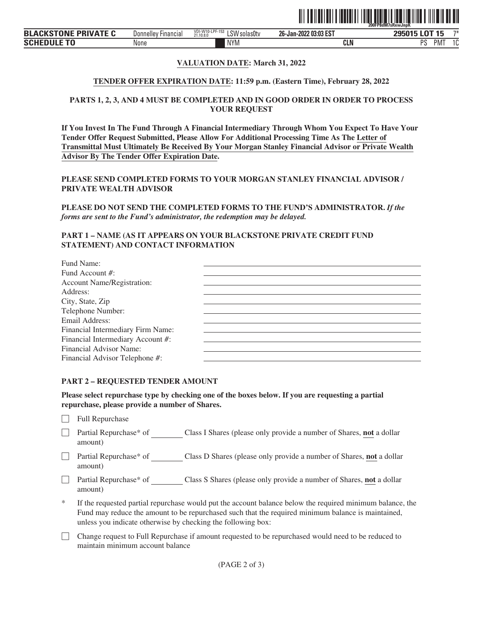

# **VALUATION DATE: March 31, 2022**

#### **TENDER OFFER EXPIRATION DATE: 11:59 p.m. (Eastern Time), February 28, 2022**

# **PARTS 1, 2, 3, AND 4 MUST BE COMPLETED AND IN GOOD ORDER IN ORDER TO PROCESS YOUR REQUEST**

**If You Invest In The Fund Through A Financial Intermediary Through Whom You Expect To Have Your Tender Offer Request Submitted, Please Allow For Additional Processing Time As The Letter of Transmittal Must Ultimately Be Received By Your Morgan Stanley Financial Advisor or Private Wealth Advisor By The Tender Offer Expiration Date.**

**PLEASE SEND COMPLETED FORMS TO YOUR MORGAN STANLEY FINANCIAL ADVISOR / PRIVATE WEALTH ADVISOR**

**PLEASE DO NOT SEND THE COMPLETED FORMS TO THE FUND'S ADMINISTRATOR.** *If the forms are sent to the Fund's administrator, the redemption may be delayed.*

## **PART 1 – NAME (AS IT APPEARS ON YOUR BLACKSTONE PRIVATE CREDIT FUND STATEMENT) AND CONTACT INFORMATION**

| Fund Name:                        |  |
|-----------------------------------|--|
| Fund Account #:                   |  |
| <b>Account Name/Registration:</b> |  |
| Address:                          |  |
| City, State, Zip                  |  |
| Telephone Number:                 |  |
| Email Address:                    |  |
| Financial Intermediary Firm Name: |  |
| Financial Intermediary Account #: |  |
| Financial Advisor Name:           |  |
| Financial Advisor Telephone #:    |  |

#### **PART 2 – REQUESTED TENDER AMOUNT**

**Please select repurchase type by checking one of the boxes below. If you are requesting a partial repurchase, please provide a number of Shares.**

 $\Box$  Full Repurchase

- □ Partial Repurchase\* of Class I Shares (please only provide a number of Shares, **not** a dollar amount)
- **Partial Repurchase\* of** Class D Shares (please only provide a number of Shares, **not** a dollar amount)
- □ Partial Repurchase\* of Class S Shares (please only provide a number of Shares, **not** a dollar amount)
- If the requested partial repurchase would put the account balance below the required minimum balance, the Fund may reduce the amount to be repurchased such that the required minimum balance is maintained, unless you indicate otherwise by checking the following box:
- ' Change request to Full Repurchase if amount requested to be repurchased would need to be reduced to maintain minimum account balance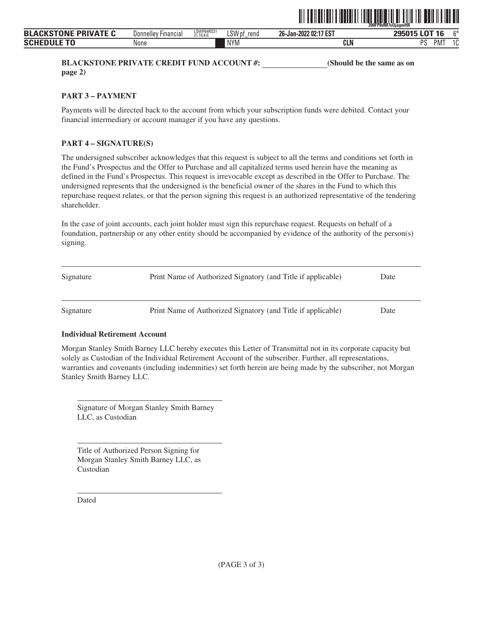

**BLACKSTONE PRIVATE CREDIT FUND ACCOUNT #: (Should be the same as on page 2)**

**PART 3 – PAYMENT**

Payments will be directed back to the account from which your subscription funds were debited. Contact your financial intermediary or account manager if you have any questions.

# **PART 4 – SIGNATURE(S)**

The undersigned subscriber acknowledges that this request is subject to all the terms and conditions set forth in the Fund's Prospectus and the Offer to Purchase and all capitalized terms used herein have the meaning as defined in the Fund's Prospectus. This request is irrevocable except as described in the Offer to Purchase. The undersigned represents that the undersigned is the beneficial owner of the shares in the Fund to which this repurchase request relates, or that the person signing this request is an authorized representative of the tendering shareholder.

In the case of joint accounts, each joint holder must sign this repurchase request. Requests on behalf of a foundation, partnership or any other entity should be accompanied by evidence of the authority of the person(s) signing.

| Signature | Print Name of Authorized Signatory (and Title if applicable) | Date |
|-----------|--------------------------------------------------------------|------|
| Signature | Print Name of Authorized Signatory (and Title if applicable) | Date |

# **Individual Retirement Account**

Morgan Stanley Smith Barney LLC hereby executes this Letter of Transmittal not in its corporate capacity but solely as Custodian of the Individual Retirement Account of the subscriber. Further, all representations, warranties and covenants (including indemnities) set forth herein are being made by the subscriber, not Morgan Stanley Smith Barney LLC.

Signature of Morgan Stanley Smith Barney LLC, as Custodian

Title of Authorized Person Signing for Morgan Stanley Smith Barney LLC, as Custodian

Dated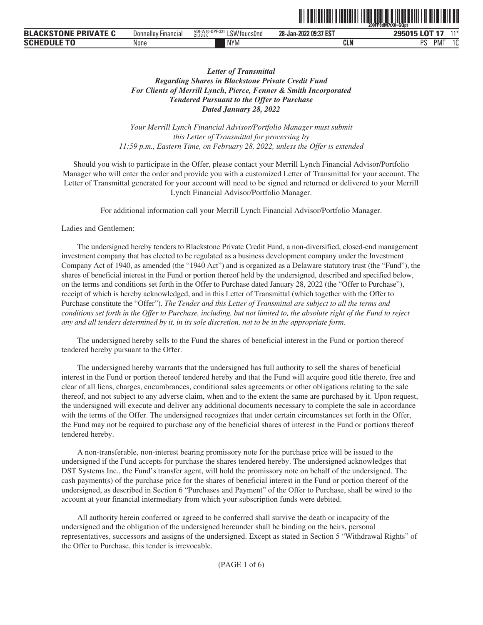|                                 |                                      |                                                                    |                       | 200FP8dM7tX0=GQpt                               |
|---------------------------------|--------------------------------------|--------------------------------------------------------------------|-----------------------|-------------------------------------------------|
| VATE<br><b>DDI</b><br>BLA<br>-- | <b>Donnelley</b><br><b>Hinancial</b> | <b>VDI-W10-DI</b><br>DDE 00<br>∟SW<br>-37<br>teucsUnd<br>21.10.8.0 | 28-Jan-2022 09:37 EST | $\sim$<br>$11*$<br>--<br><b>OOEN1E</b><br>-     |
| <b>SCHI</b>                     | None                                 | <b>NYM</b>                                                         | <b>ALE</b><br>uli     | DC<br>$\ddot{\phantom{1}}$<br>ن َ<br>1V I<br>л. |

<u>od temperature and the state of the state of the state of </u>

# *Letter of Transmittal Regarding Shares in Blackstone Private Credit Fund For Clients of Merrill Lynch, Pierce, Fenner & Smith Incorporated Tendered Pursuant to the Offer to Purchase Dated January 28, 2022*

*Your Merrill Lynch Financial Advisor/Portfolio Manager must submit this Letter of Transmittal for processing by 11:59 p.m., Eastern Time, on February 28, 2022, unless the Offer is extended*

Should you wish to participate in the Offer, please contact your Merrill Lynch Financial Advisor/Portfolio Manager who will enter the order and provide you with a customized Letter of Transmittal for your account. The Letter of Transmittal generated for your account will need to be signed and returned or delivered to your Merrill Lynch Financial Advisor/Portfolio Manager.

For additional information call your Merrill Lynch Financial Advisor/Portfolio Manager.

#### Ladies and Gentlemen:

The undersigned hereby tenders to Blackstone Private Credit Fund, a non-diversified, closed-end management investment company that has elected to be regulated as a business development company under the Investment Company Act of 1940, as amended (the "1940 Act") and is organized as a Delaware statutory trust (the "Fund"), the shares of beneficial interest in the Fund or portion thereof held by the undersigned, described and specified below, on the terms and conditions set forth in the Offer to Purchase dated January 28, 2022 (the "Offer to Purchase"), receipt of which is hereby acknowledged, and in this Letter of Transmittal (which together with the Offer to Purchase constitute the "Offer"). *The Tender and this Letter of Transmittal are subject to all the terms and conditions set forth in the Offer to Purchase, including, but not limited to, the absolute right of the Fund to reject any and all tenders determined by it, in its sole discretion, not to be in the appropriate form.*

The undersigned hereby sells to the Fund the shares of beneficial interest in the Fund or portion thereof tendered hereby pursuant to the Offer.

The undersigned hereby warrants that the undersigned has full authority to sell the shares of beneficial interest in the Fund or portion thereof tendered hereby and that the Fund will acquire good title thereto, free and clear of all liens, charges, encumbrances, conditional sales agreements or other obligations relating to the sale thereof, and not subject to any adverse claim, when and to the extent the same are purchased by it. Upon request, the undersigned will execute and deliver any additional documents necessary to complete the sale in accordance with the terms of the Offer. The undersigned recognizes that under certain circumstances set forth in the Offer, the Fund may not be required to purchase any of the beneficial shares of interest in the Fund or portions thereof tendered hereby.

A non-transferable, non-interest bearing promissory note for the purchase price will be issued to the undersigned if the Fund accepts for purchase the shares tendered hereby. The undersigned acknowledges that DST Systems Inc., the Fund's transfer agent, will hold the promissory note on behalf of the undersigned. The cash payment(s) of the purchase price for the shares of beneficial interest in the Fund or portion thereof of the undersigned, as described in Section 6 "Purchases and Payment" of the Offer to Purchase, shall be wired to the account at your financial intermediary from which your subscription funds were debited.

All authority herein conferred or agreed to be conferred shall survive the death or incapacity of the undersigned and the obligation of the undersigned hereunder shall be binding on the heirs, personal representatives, successors and assigns of the undersigned. Except as stated in Section 5 "Withdrawal Rights" of the Offer to Purchase, this tender is irrevocable.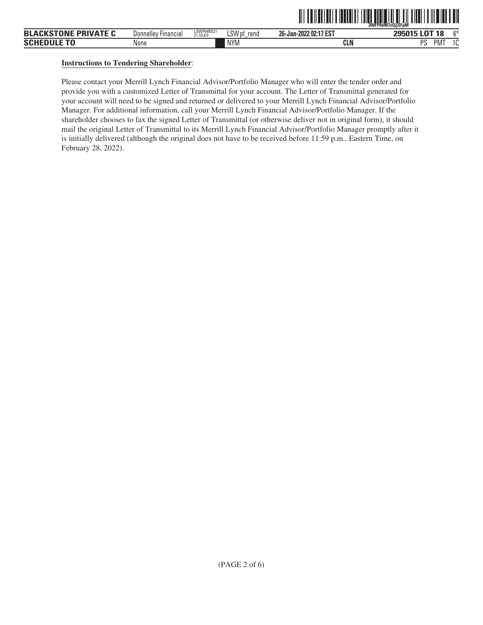|                                         |                          |                         |                |                       | ---------<br>.<br>`ZOOFP8dM7sQijSFpM |              |
|-----------------------------------------|--------------------------|-------------------------|----------------|-----------------------|--------------------------------------|--------------|
| <b>BLACKSTONE</b><br><b>: PRIVATE C</b> | Donnelley<br>' Financial | LSWP64RS21<br>21.10.8.0 | LSW pf<br>rend | 26-Jan-2022 02:17 EST | <b>LOT 18</b><br>295015              | $^{\sim}$    |
| <b>SCHE</b>                             | None                     |                         | <b>NYM</b>     | CLN                   | nс<br>PM <sub></sub>                 | $\sim$<br>טו |

TIT TO ITOLI OLI TA TOURITTI TITUL OLI OLI TA TITA TA TITATTI OLI TUU

# **Instructions to Tendering Shareholder**:

Please contact your Merrill Lynch Financial Advisor/Portfolio Manager who will enter the tender order and provide you with a customized Letter of Transmittal for your account. The Letter of Transmittal generated for your account will need to be signed and returned or delivered to your Merrill Lynch Financial Advisor/Portfolio Manager. For additional information, call your Merrill Lynch Financial Advisor/Portfolio Manager. If the shareholder chooses to fax the signed Letter of Transmittal (or otherwise deliver not in original form), it should mail the original Letter of Transmittal to its Merrill Lynch Financial Advisor/Portfolio Manager promptly after it is initially delivered (although the original does not have to be received before 11:59 p.m., Eastern Time, on February 28, 2022).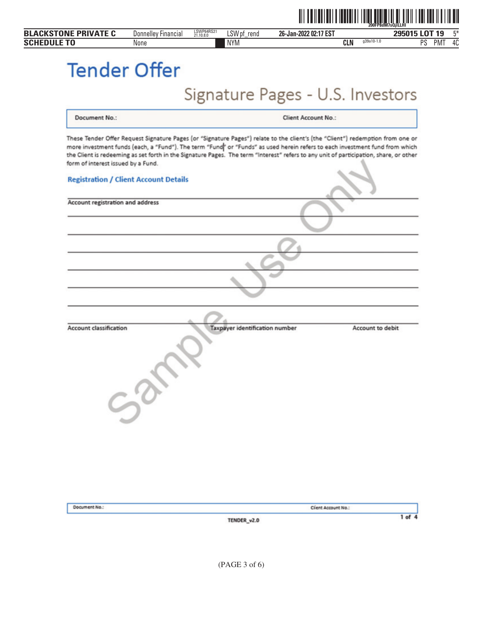|                    | <b>BLACKSTONE PRIVATE C</b>        | <b>Donnelley Financial</b>                   | LSWP64RS21<br>21.10.8.0<br>LSW pf_rend | 26-Jan-2022 02:17 EST                                                                                                                                                                                                                                                                                                                                                                                  | 295015 LOT 19<br>$5*$         |
|--------------------|------------------------------------|----------------------------------------------|----------------------------------------|--------------------------------------------------------------------------------------------------------------------------------------------------------------------------------------------------------------------------------------------------------------------------------------------------------------------------------------------------------------------------------------------------------|-------------------------------|
| <b>SCHEDULE TO</b> |                                    | None                                         | <b>NYM</b>                             | g39a10-1.0<br><b>CLN</b>                                                                                                                                                                                                                                                                                                                                                                               | 40<br><b>PS</b><br><b>PMT</b> |
|                    | <b>Tender Offer</b>                |                                              |                                        |                                                                                                                                                                                                                                                                                                                                                                                                        |                               |
|                    |                                    |                                              |                                        | Signature Pages - U.S. Investors                                                                                                                                                                                                                                                                                                                                                                       |                               |
|                    | Document No.:                      |                                              |                                        | <b>Client Account No.:</b>                                                                                                                                                                                                                                                                                                                                                                             |                               |
|                    | form of interest issued by a Fund. | <b>Registration / Client Account Details</b> |                                        | These Tender Offer Request Signature Pages (or "Signature Pages") relate to the client's (the "Client") redemption from one or<br>more investment funds (each, a "Fund"). The term "Fund" or "Funds" as used herein refers to each investment fund from which<br>the Client is redeeming as set forth in the Signature Pages. The term "Interest" refers to any unit of participation, share, or other |                               |
|                    |                                    |                                              |                                        |                                                                                                                                                                                                                                                                                                                                                                                                        |                               |
|                    | Account registration and address   |                                              |                                        |                                                                                                                                                                                                                                                                                                                                                                                                        |                               |
|                    |                                    |                                              |                                        |                                                                                                                                                                                                                                                                                                                                                                                                        |                               |
|                    |                                    |                                              |                                        |                                                                                                                                                                                                                                                                                                                                                                                                        |                               |
|                    |                                    |                                              |                                        |                                                                                                                                                                                                                                                                                                                                                                                                        |                               |
|                    |                                    |                                              |                                        |                                                                                                                                                                                                                                                                                                                                                                                                        |                               |
|                    | Account classification             |                                              | Taxpayer identification number         | Account to debit                                                                                                                                                                                                                                                                                                                                                                                       |                               |
|                    |                                    | ×.                                           | ∾                                      |                                                                                                                                                                                                                                                                                                                                                                                                        |                               |
|                    |                                    | $5^{\circ}$                                  |                                        |                                                                                                                                                                                                                                                                                                                                                                                                        |                               |
|                    |                                    |                                              |                                        |                                                                                                                                                                                                                                                                                                                                                                                                        |                               |
|                    |                                    |                                              |                                        |                                                                                                                                                                                                                                                                                                                                                                                                        |                               |
|                    | Document No.:                      |                                              |                                        | Client Account No.:                                                                                                                                                                                                                                                                                                                                                                                    |                               |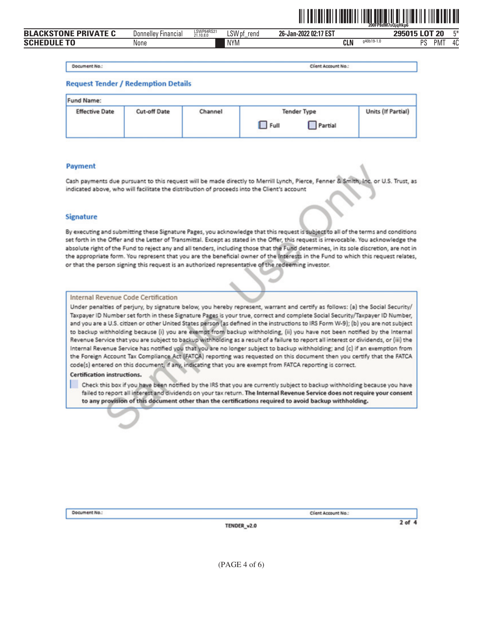

| $\n  0$ NF $\n  L$ .<br><b>PRIVATE C</b><br>RI <i>I</i> | Financial<br>Jonnellev | LSWP64RS21<br>21.10.8.0 | ∟SW pf<br>rend | 26-Jan-2022 02:17 EST |            |            | $\sim$<br>20<br><b>OOFOAF</b><br>.<br>ΖU | $F*$              |
|---------------------------------------------------------|------------------------|-------------------------|----------------|-----------------------|------------|------------|------------------------------------------|-------------------|
| ENIII E TA<br><b>SCH'</b>                               | None                   |                         | <b>NYM</b>     |                       | <b>CLN</b> | a40b19-1.0 | no<br>PM <sup>-</sup>                    | $^{\prime\prime}$ |

Document No.:

Client Account No.:

#### **Request Tender / Redemption Details**

| <b>Fund Name:</b>     |                     |         |                                       |                    |
|-----------------------|---------------------|---------|---------------------------------------|--------------------|
| <b>Effective Date</b> | <b>Cut-off Date</b> | Channel | <b>Tender Type</b><br>Partial<br>Full | Units (If Partial) |

#### **Payment**

Cash payments due pursuant to this request will be made directly to Merrill Lynch, Pierce, Fenner & Smith, Inc. or U.S. Trust, as indicated above, who will facilitate the distribution of proceeds into the Client's account

#### **Signature**

By executing and submitting these Signature Pages, you acknowledge that this request is subject to all of the terms and conditions set forth in the Offer and the Letter of Transmittal. Except as stated in the Offer, this request is irrevocable. You acknowledge the absolute right of the Fund to reject any and all tenders, including those that the Fund determines, in its sole discretion, are not in the appropriate form. You represent that you are the beneficial owner of the Interests in the Fund to which this request relates, or that the person signing this request is an authorized representative of the redeeming investor.

#### Internal Revenue Code Certification

Under penalties of perjury, by signature below, you hereby represent, warrant and certify as follows: (a) the Social Security/ Taxpayer ID Number set forth in these Signature Pages is your true, correct and complete Social Security/Taxpayer ID Number, and you are a U.S. citizen or other United States person (as defined in the instructions to IRS Form W-9); (b) you are not subject to backup withholding because (i) you are exempt from backup withholding, (ii) you have not been notified by the Internal Revenue Service that you are subject to backup withholding as a result of a failure to report all interest or dividends, or (iii) the Internal Revenue Service has notified you that you are no longer subject to backup withholding; and (c) if an exemption from the Foreign Account Tax Compliance Act (FATCA) reporting was requested on this document then you certify that the FATCA code(s) entered on this document, if any, indicating that you are exempt from FATCA reporting is correct.

#### Certification instructions.

Check this box if you have been notified by the IRS that you are currently subject to backup withholding because you have failed to report all interest and dividends on your tax return. The Internal Revenue Service does not require your consent to any provision of this document other than the certifications required to avoid backup withholding.

Document No.:

Client Account No.:

TENDER\_v2.0

 $2$  of  $4$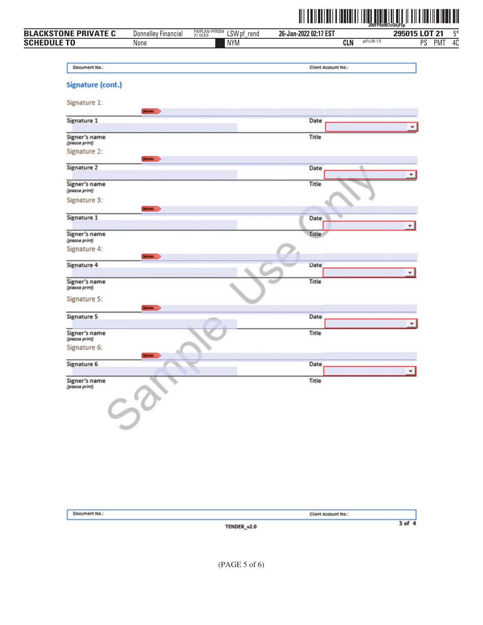

|                                 |                            |                                           | ∭                     |                            | P8dM7s0hiF5n  |                               |
|---------------------------------|----------------------------|-------------------------------------------|-----------------------|----------------------------|---------------|-------------------------------|
| <b>BLACKSTONE PRIVATE C</b>     | <b>Donnelley Financial</b> | FWPLAN-PFRS59<br>21.10.8.0<br>LSW pf_rend | 26-Jan-2022 02:17 EST |                            | 295015 LOT 21 | $5^*$                         |
| <b>SCHEDULE TO</b>              | None                       | <b>NYM</b>                                |                       | $g41c28-1.0$<br><b>CLN</b> | PS            | $\overline{40}$<br><b>PMT</b> |
| Document No.:                   |                            |                                           | Client Account No.:   |                            |               |                               |
| Signature (cont.)               |                            |                                           |                       |                            |               |                               |
|                                 |                            |                                           |                       |                            |               |                               |
| Signature 1:                    | -                          |                                           |                       |                            |               |                               |
| Signature 1                     |                            |                                           | Date                  |                            |               |                               |
| Signer's name<br>(piease print) |                            |                                           | Title                 |                            |               |                               |
| Signature 2:                    | -                          |                                           |                       |                            |               |                               |
| Signature 2                     |                            |                                           | Date                  |                            | ٠             |                               |
| Signer's name<br>(please print) |                            |                                           | Title                 |                            |               |                               |
| Signature 3:                    |                            |                                           |                       |                            |               |                               |
| Signature 1                     |                            |                                           | <b>Date</b>           |                            |               |                               |
| Signer's name<br>(please print) |                            |                                           | Title                 |                            | ٠             |                               |
| Signature 4:                    |                            |                                           |                       |                            |               |                               |
| Signature 4                     | <b>HOLME</b>               |                                           | Date                  |                            | ٠             |                               |
| Signer's name<br>(piease print) |                            |                                           | Title                 |                            |               |                               |
| Signature 5:                    |                            |                                           |                       |                            |               |                               |
| Signature 5                     | <b>BOOM</b>                |                                           | Date                  |                            |               |                               |
| Signer's name<br>(piease print) |                            |                                           | Title                 |                            |               |                               |
| Signature 6:                    |                            |                                           |                       |                            |               |                               |
| Signature 6                     | <b>STAR</b>                |                                           | Date                  |                            |               |                               |
| Signer's name                   |                            |                                           | Title                 |                            | ٠             |                               |
| (please print)                  |                            |                                           |                       |                            |               |                               |
|                                 |                            |                                           |                       |                            |               |                               |
|                                 |                            |                                           |                       |                            |               |                               |
|                                 |                            |                                           |                       |                            |               |                               |
|                                 |                            |                                           |                       |                            |               |                               |
|                                 |                            |                                           |                       |                            |               |                               |
|                                 |                            |                                           |                       |                            |               |                               |

| Document No.: | Client Account No.: |  |
|---------------|---------------------|--|
|               | TENDER_v2.0         |  |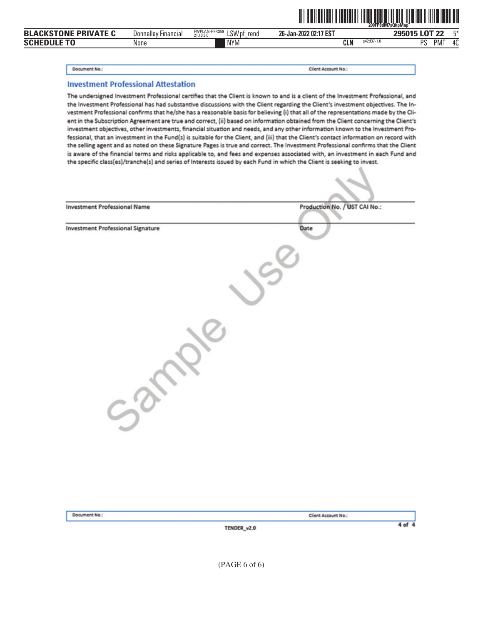|                             |                            |                                              | WINI<br><u> III IIIIIIIII</u> |            | <u> FINI FINI TILLI TILLII TARAHI TILLII T</u><br>200FP8dM7sQhpMnp |       |
|-----------------------------|----------------------------|----------------------------------------------|-------------------------------|------------|--------------------------------------------------------------------|-------|
| <b>BLACKSTONE PRIVATE C</b> | <b>Donnelley Financial</b> | FWPLAN-PFRS59<br>LSW pf<br>rend<br>21.10.8.0 | 26-Jan-2022 02:17 EST         |            | 295015 LOT 22                                                      | $F^*$ |
| <b>Schedule To</b>          | None                       | <b>NYM</b>                                   | <b>CLN</b>                    | g42d37-1.0 | <b>PMT</b><br>DС                                                   | 40    |

#### Document No.:

Client Account No.:

#### **Investment Professional Attestation**

The undersigned Investment Professional certifies that the Client is known to and is a client of the Investment Professional, and the Investment Professional has had substantive discussions with the Client regarding the Client's investment objectives. The Investment Professional confirms that he/she has a reasonable basis for believing (i) that all of the representations made by the Client in the Subscription Agreement are true and correct, (ii) based on information obtained from the Client concerning the Client's investment objectives, other investments, financial situation and needs, and any other information known to the Investment Professional, that an investment in the Fund(s) is suitable for the Client, and (iii) that the Client's contact information on record with the selling agent and as noted on these Signature Pages is true and correct. The Investment Professional confirms that the Client is aware of the financial terms and risks applicable to, and fees and expenses associated with, an investment in each Fund and the specific class(es)/tranche(s) and series of Interests issued by each Fund in which the Client is seeking to invest.

| <b>Investment Professional Name</b>      | Production No. / UST CAI No.: |
|------------------------------------------|-------------------------------|
| <b>Investment Professional Signature</b> | Date                          |
|                                          |                               |
|                                          |                               |
|                                          |                               |
|                                          |                               |
|                                          |                               |
|                                          |                               |
|                                          |                               |
|                                          |                               |
|                                          |                               |
|                                          |                               |
|                                          |                               |

|  | Document No.: |  |  |
|--|---------------|--|--|
|  |               |  |  |

TENDER\_v2.0

Client Account No.:

 $4 of 4$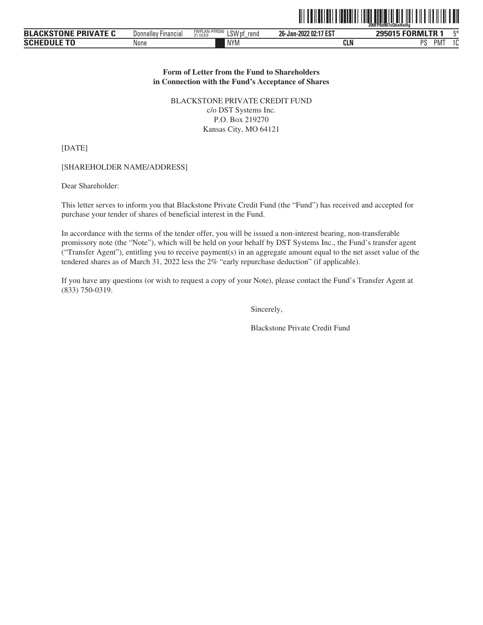|                             |                               |                                              |                       | 200FP8dM7sQheHnHa |  |
|-----------------------------|-------------------------------|----------------------------------------------|-----------------------|-------------------|--|
| <b>BLACKSTONE PRIVATE C</b> | Donnellev<br><b>Financial</b> | FWPLAN-PFRS50<br>LSW pf<br>rena<br>21,10,8,0 | 26-Jan-2022 02:17 EST | 295015 FORMLTR 1  |  |

The Company of the House of the House and the House of the House of the House of the House of the House of the

PS PMT 1C

NYM **CLN** PS

# **Form of Letter from the Fund to Shareholders in Connection with the Fund's Acceptance of Shares**

BLACKSTONE PRIVATE CREDIT FUND c/o DST Systems Inc. P.O. Box 219270 Kansas City, MO 64121

[DATE]

**SCHEDULE TO**

[SHAREHOLDER NAME/ADDRESS]

**None** 

Dear Shareholder:

This letter serves to inform you that Blackstone Private Credit Fund (the "Fund") has received and accepted for purchase your tender of shares of beneficial interest in the Fund.

In accordance with the terms of the tender offer, you will be issued a non-interest bearing, non-transferable promissory note (the "Note"), which will be held on your behalf by DST Systems Inc., the Fund's transfer agent ("Transfer Agent"), entitling you to receive payment(s) in an aggregate amount equal to the net asset value of the tendered shares as of March 31, 2022 less the 2% "early repurchase deduction" (if applicable).

If you have any questions (or wish to request a copy of your Note), please contact the Fund's Transfer Agent at (833) 750-0319.

Sincerely,

Blackstone Private Credit Fund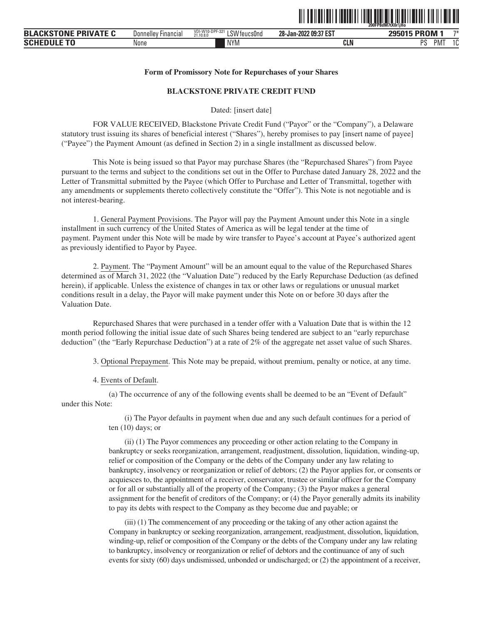

#### **Form of Promissory Note for Repurchases of your Shares**

#### **BLACKSTONE PRIVATE CREDIT FUND**

Dated: [insert date]

FOR VALUE RECEIVED, Blackstone Private Credit Fund ("Payor" or the "Company"), a Delaware statutory trust issuing its shares of beneficial interest ("Shares"), hereby promises to pay [insert name of payee] ("Payee") the Payment Amount (as defined in Section 2) in a single installment as discussed below.

This Note is being issued so that Payor may purchase Shares (the "Repurchased Shares") from Payee pursuant to the terms and subject to the conditions set out in the Offer to Purchase dated January 28, 2022 and the Letter of Transmittal submitted by the Payee (which Offer to Purchase and Letter of Transmittal, together with any amendments or supplements thereto collectively constitute the "Offer"). This Note is not negotiable and is not interest-bearing.

1. General Payment Provisions. The Payor will pay the Payment Amount under this Note in a single installment in such currency of the United States of America as will be legal tender at the time of payment. Payment under this Note will be made by wire transfer to Payee's account at Payee's authorized agent as previously identified to Payor by Payee.

2. Payment. The "Payment Amount" will be an amount equal to the value of the Repurchased Shares determined as of March 31, 2022 (the "Valuation Date") reduced by the Early Repurchase Deduction (as defined herein), if applicable. Unless the existence of changes in tax or other laws or regulations or unusual market conditions result in a delay, the Payor will make payment under this Note on or before 30 days after the Valuation Date.

Repurchased Shares that were purchased in a tender offer with a Valuation Date that is within the 12 month period following the initial issue date of such Shares being tendered are subject to an "early repurchase deduction" (the "Early Repurchase Deduction") at a rate of 2% of the aggregate net asset value of such Shares.

3. Optional Prepayment. This Note may be prepaid, without premium, penalty or notice, at any time.

4. Events of Default.

(a) The occurrence of any of the following events shall be deemed to be an "Event of Default" under this Note:

> (i) The Payor defaults in payment when due and any such default continues for a period of ten (10) days; or

(ii) (1) The Payor commences any proceeding or other action relating to the Company in bankruptcy or seeks reorganization, arrangement, readjustment, dissolution, liquidation, winding-up, relief or composition of the Company or the debts of the Company under any law relating to bankruptcy, insolvency or reorganization or relief of debtors; (2) the Payor applies for, or consents or acquiesces to, the appointment of a receiver, conservator, trustee or similar officer for the Company or for all or substantially all of the property of the Company; (3) the Payor makes a general assignment for the benefit of creditors of the Company; or (4) the Payor generally admits its inability to pay its debts with respect to the Company as they become due and payable; or

(iii) (1) The commencement of any proceeding or the taking of any other action against the Company in bankruptcy or seeking reorganization, arrangement, readjustment, dissolution, liquidation, winding-up, relief or composition of the Company or the debts of the Company under any law relating to bankruptcy, insolvency or reorganization or relief of debtors and the continuance of any of such events for sixty (60) days undismissed, unbonded or undischarged; or (2) the appointment of a receiver,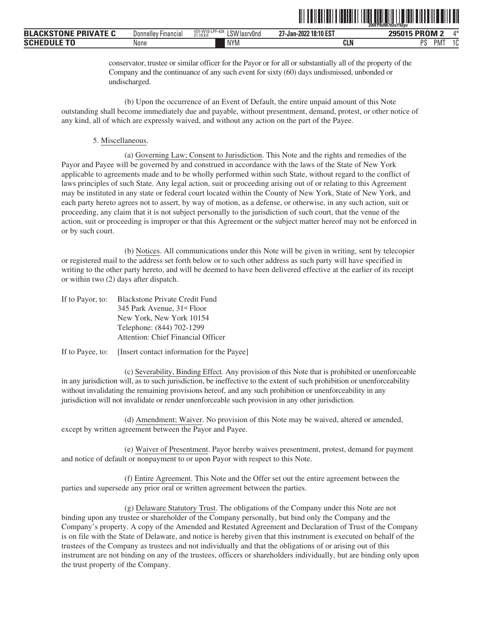|                                  |                                            |                                                              | 200FP8dM7tDuY92pv              |                      |                 |
|----------------------------------|--------------------------------------------|--------------------------------------------------------------|--------------------------------|----------------------|-----------------|
| <b>BLACKSTONE</b><br>: PRIVATE C | $- \cdot$<br>Donnellev<br><b>Financial</b> | VDI-W10-LP<br>-LPF-424<br>01111<br>LSW lasrv0nd<br>21.10.8.0 | 18:10 ES1<br>67<br>27-Jan-2022 | 295015 PROM:         | $A +$           |
| <b>SCHE</b>                      | None                                       | <b>NYM</b>                                                   | <b>CLN</b>                     | nс<br>PM <sub></sub> | $\Lambda$<br>טו |

conservator, trustee or similar officer for the Payor or for all or substantially all of the property of the Company and the continuance of any such event for sixty (60) days undismissed, unbonded or undischarged.

<u>oli od indijelo i naseljeni i naseljeni u nastava i naseljeni u nastava i nastava i nastava i nastava i nastav</u>

(b) Upon the occurrence of an Event of Default, the entire unpaid amount of this Note outstanding shall become immediately due and payable, without presentment, demand, protest, or other notice of any kind, all of which are expressly waived, and without any action on the part of the Payee.

#### 5. Miscellaneous.

(a) Governing Law; Consent to Jurisdiction. This Note and the rights and remedies of the Payor and Payee will be governed by and construed in accordance with the laws of the State of New York applicable to agreements made and to be wholly performed within such State, without regard to the conflict of laws principles of such State. Any legal action, suit or proceeding arising out of or relating to this Agreement may be instituted in any state or federal court located within the County of New York, State of New York, and each party hereto agrees not to assert, by way of motion, as a defense, or otherwise, in any such action, suit or proceeding, any claim that it is not subject personally to the jurisdiction of such court, that the venue of the action, suit or proceeding is improper or that this Agreement or the subject matter hereof may not be enforced in or by such court.

(b) Notices. All communications under this Note will be given in writing, sent by telecopier or registered mail to the address set forth below or to such other address as such party will have specified in writing to the other party hereto, and will be deemed to have been delivered effective at the earlier of its receipt or within two (2) days after dispatch.

| If to Payor, to: | <b>Blackstone Private Credit Fund</b>   |
|------------------|-----------------------------------------|
|                  | 345 Park Avenue, 31 <sup>st</sup> Floor |
|                  | New York, New York 10154                |
|                  | Telephone: (844) 702-1299               |
|                  | Attention: Chief Financial Officer      |

#### If to Payee, to: [Insert contact information for the Payee]

(c) Severability, Binding Effect. Any provision of this Note that is prohibited or unenforceable in any jurisdiction will, as to such jurisdiction, be ineffective to the extent of such prohibition or unenforceability without invalidating the remaining provisions hereof, and any such prohibition or unenforceability in any jurisdiction will not invalidate or render unenforceable such provision in any other jurisdiction.

(d) Amendment; Waiver. No provision of this Note may be waived, altered or amended, except by written agreement between the Payor and Payee.

(e) Waiver of Presentment. Payor hereby waives presentment, protest, demand for payment and notice of default or nonpayment to or upon Payor with respect to this Note.

(f) Entire Agreement. This Note and the Offer set out the entire agreement between the parties and supersede any prior oral or written agreement between the parties.

(g) Delaware Statutory Trust. The obligations of the Company under this Note are not binding upon any trustee or shareholder of the Company personally, but bind only the Company and the Company's property. A copy of the Amended and Restated Agreement and Declaration of Trust of the Company is on file with the State of Delaware, and notice is hereby given that this instrument is executed on behalf of the trustees of the Company as trustees and not individually and that the obligations of or arising out of this instrument are not binding on any of the trustees, officers or shareholders individually, but are binding only upon the trust property of the Company.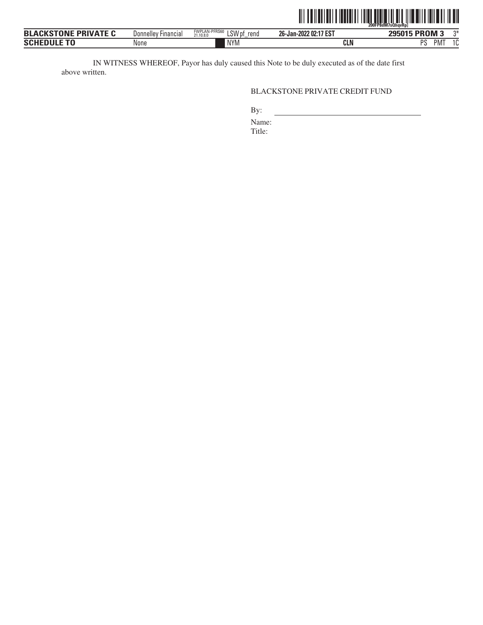

| <b>BLACKSTONE</b><br>DRIVATE C<br>∼н.<br>. | Donnelley Financial | <b>FWFLAN-FFR30</b><br>LSW pt<br>rena<br>21.10.8.0 | 26-Jan-2022 02:17 EST | ומכי<br><b>PROM3</b><br>-п.<br>э | - 75 |
|--------------------------------------------|---------------------|----------------------------------------------------|-----------------------|----------------------------------|------|
| <b>SCHEDULE TO</b>                         | None                | <b>NIVM</b><br>I V I I V                           | <b>CLN</b>            | <b>DC</b><br>PM <sup>-</sup>     |      |
|                                            |                     |                                                    |                       |                                  |      |

IN WITNESS WHEREOF, Payor has duly caused this Note to be duly executed as of the date first above written.

# BLACKSTONE PRIVATE CREDIT FUND

By:

Name:

Title: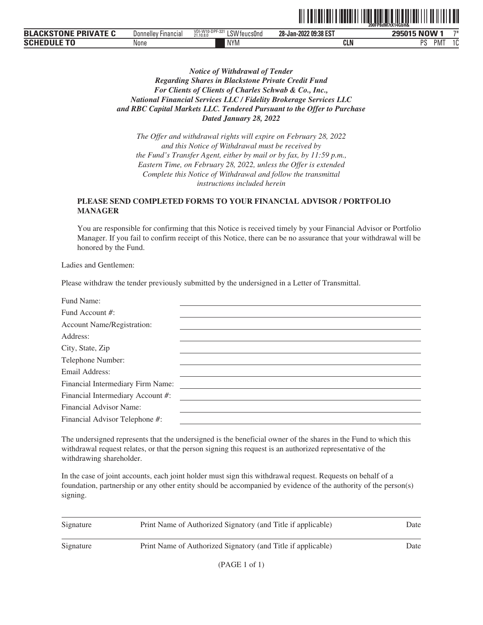|                                                   |                         |                                                             |                                          | 200FP8dM7tX14GbH&   |      |
|---------------------------------------------------|-------------------------|-------------------------------------------------------------|------------------------------------------|---------------------|------|
| <b>BLA(</b><br>TNNF<br>VATF C<br><b>DDU</b><br>РК | `Financial<br>Donnellev | JI-W10-DPF-321<br>0.111<br>'teucs0nd<br>_O V v<br>21.10.8.0 | -2022 09:38 EST<br>$28 - Jan -$<br>`-ZU∠ | 295015 NOW          | $7+$ |
| <b>SCHED</b>                                      | None                    | <b>NYM</b>                                                  | CLN                                      | .<br>nс<br>PM.<br>υ |      |

ˆ200FP8dM7tX14GbH&Š **200FP8dM7tX14GbH&**

# *Notice of Withdrawal of Tender Regarding Shares in Blackstone Private Credit Fund For Clients of Clients of Charles Schwab & Co., Inc., National Financial Services LLC / Fidelity Brokerage Services LLC and RBC Capital Markets LLC. Tendered Pursuant to the Offer to Purchase Dated January 28, 2022*

*The Offer and withdrawal rights will expire on February 28, 2022 and this Notice of Withdrawal must be received by the Fund's Transfer Agent, either by mail or by fax, by 11:59 p.m., Eastern Time, on February 28, 2022, unless the Offer is extended Complete this Notice of Withdrawal and follow the transmittal instructions included herein*

# **PLEASE SEND COMPLETED FORMS TO YOUR FINANCIAL ADVISOR / PORTFOLIO MANAGER**

You are responsible for confirming that this Notice is received timely by your Financial Advisor or Portfolio Manager. If you fail to confirm receipt of this Notice, there can be no assurance that your withdrawal will be honored by the Fund.

Ladies and Gentlemen:

Please withdraw the tender previously submitted by the undersigned in a Letter of Transmittal.

| Fund Name:                        |  |
|-----------------------------------|--|
| Fund Account #:                   |  |
| <b>Account Name/Registration:</b> |  |
| Address:                          |  |
| City, State, Zip                  |  |
| Telephone Number:                 |  |
| Email Address:                    |  |
| Financial Intermediary Firm Name: |  |
| Financial Intermediary Account #: |  |
| Financial Advisor Name:           |  |
| Financial Advisor Telephone #:    |  |
|                                   |  |

The undersigned represents that the undersigned is the beneficial owner of the shares in the Fund to which this withdrawal request relates, or that the person signing this request is an authorized representative of the withdrawing shareholder.

| Signature | Print Name of Authorized Signatory (and Title if applicable) | Date |
|-----------|--------------------------------------------------------------|------|
| Signature | Print Name of Authorized Signatory (and Title if applicable) | Date |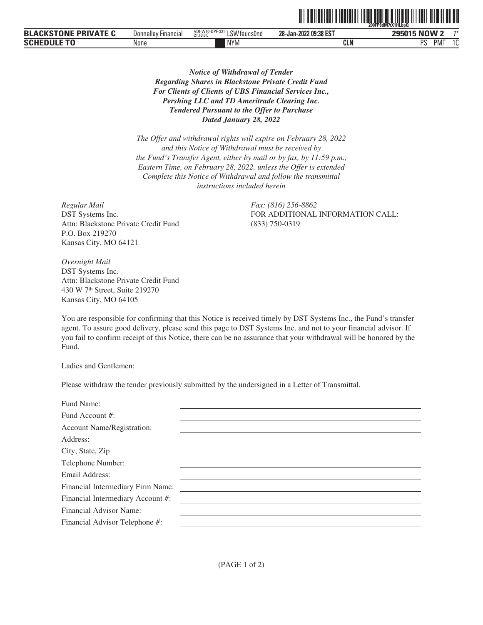|                                   |                        |                                                   | --------              | 200FP8dM7tX1HLbpQ<br>. | -------    |
|-----------------------------------|------------------------|---------------------------------------------------|-----------------------|------------------------|------------|
| ---<br>-<br>D'<br>ыж<br>.<br>-91- | Financial<br>Donnelley | 10-DPF-321<br>VDI-W)<br>LSW feucs0nd<br>21.10.8.0 | 28-Jan-2022 09:38 EST | . . <b>.</b><br>w<br>M | 一个半        |
| <b>SCHI</b>                       | None                   | <b>NYM</b>                                        | CLN                   | nc<br>PM <sup>-</sup>  | ۰ ۾<br>1 U |

*Notice of Withdrawal of Tender Regarding Shares in Blackstone Private Credit Fund For Clients of Clients of UBS Financial Services Inc., Pershing LLC and TD Ameritrade Clearing Inc. Tendered Pursuant to the Offer to Purchase Dated January 28, 2022*

*The Offer and withdrawal rights will expire on February 28, 2022 and this Notice of Withdrawal must be received by the Fund's Transfer Agent, either by mail or by fax, by 11:59 p.m., Eastern Time, on February 28, 2022, unless the Offer is extended Complete this Notice of Withdrawal and follow the transmittal instructions included herein*

*Regular Mail Fax: (816) 256-8862* DST Systems Inc. Attn: Blackstone Private Credit Fund P.O. Box 219270 Kansas City, MO 64121

FOR ADDITIONAL INFORMATION CALL: (833) 750-0319

<u>ott og tid tid tid andre tid andre tid tid tid tid tid andre tid an</u>

*Overnight Mail* DST Systems Inc. Attn: Blackstone Private Credit Fund 430 W 7th Street, Suite 219270 Kansas City, MO 64105

You are responsible for confirming that this Notice is received timely by DST Systems Inc., the Fund's transfer agent. To assure good delivery, please send this page to DST Systems Inc. and not to your financial advisor. If you fail to confirm receipt of this Notice, there can be no assurance that your withdrawal will be honored by the Fund.

Ladies and Gentlemen:

Please withdraw the tender previously submitted by the undersigned in a Letter of Transmittal.

| Fund Name:                        |  |
|-----------------------------------|--|
| Fund Account #:                   |  |
| <b>Account Name/Registration:</b> |  |
| Address:                          |  |
| City, State, Zip                  |  |
| Telephone Number:                 |  |
| Email Address:                    |  |
| Financial Intermediary Firm Name: |  |
| Financial Intermediary Account #: |  |
| Financial Advisor Name:           |  |
| Financial Advisor Telephone #:    |  |
|                                   |  |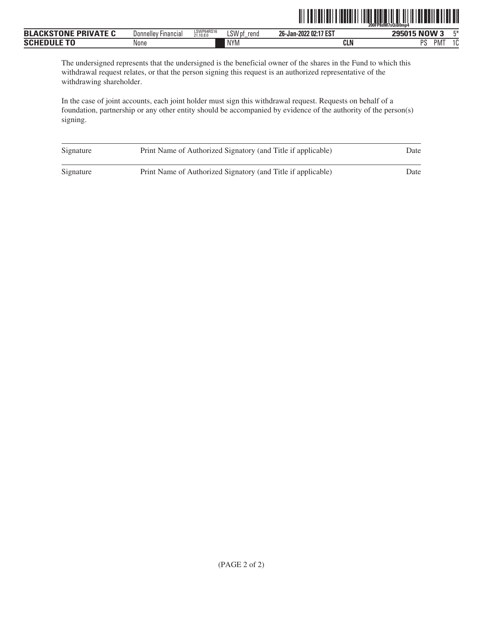|                             |                            |                         |                | IIIIII<br>HIIIIIII    | <b>TIITIN</b><br>200FP8dM7sQiB0mp4 |
|-----------------------------|----------------------------|-------------------------|----------------|-----------------------|------------------------------------|
| <b>BLACKSTONE PRIVATE C</b> | <b>Donnelley Financial</b> | LSWP64RS16<br>21.10.8.0 | LSW pf<br>rend | 26-Jan-2022 02:17 EST | 295015 NOW 3<br>$F^*$              |
| <b>SCHEDULE TO</b>          | None                       |                         | <b>NYM</b>     | <b>CLN</b>            | PS<br>10<br><b>PMT</b><br>ΙU       |

The undersigned represents that the undersigned is the beneficial owner of the shares in the Fund to which this withdrawal request relates, or that the person signing this request is an authorized representative of the withdrawing shareholder.

| Signature | Print Name of Authorized Signatory (and Title if applicable) | Date |
|-----------|--------------------------------------------------------------|------|
| Signature | Print Name of Authorized Signatory (and Title if applicable) | Date |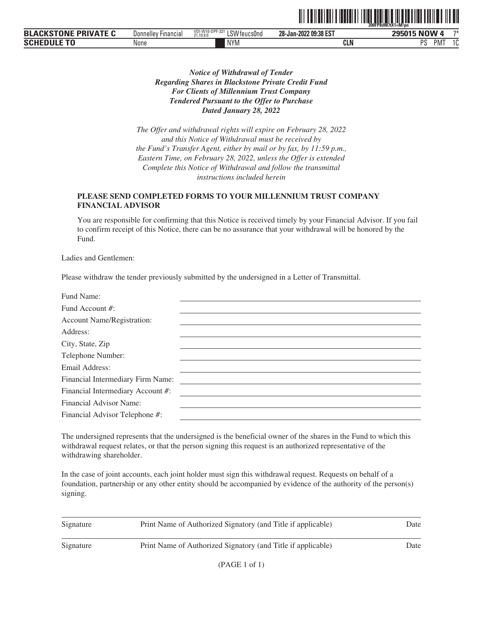|                                         |                     |                                                   |                       | 200FP8dM7tX1=M!pn                     |
|-----------------------------------------|---------------------|---------------------------------------------------|-----------------------|---------------------------------------|
| ---<br><b>PRIVA</b><br>DI<br>JN'<br>DL. | Donnelley Financial | VDI-W1<br>10-DPF-321<br>LSW feucs0nd<br>21.10.8.0 | 28-Jan-2022 09:38 EST | 一下半<br><b>NUM</b>                     |
| <b>SCHE</b>                             | None                | <b>NYM</b>                                        | CLN                   | nc<br>PM <sup>-</sup><br>$\sim$<br>טו |

<u>oli original oli olimpidi istorial oli olimpidi istorial olimpidi istori</u>

*Notice of Withdrawal of Tender Regarding Shares in Blackstone Private Credit Fund For Clients of Millennium Trust Company Tendered Pursuant to the Offer to Purchase Dated January 28, 2022*

*The Offer and withdrawal rights will expire on February 28, 2022 and this Notice of Withdrawal must be received by the Fund's Transfer Agent, either by mail or by fax, by 11:59 p.m., Eastern Time, on February 28, 2022, unless the Offer is extended Complete this Notice of Withdrawal and follow the transmittal instructions included herein*

# **PLEASE SEND COMPLETED FORMS TO YOUR MILLENNIUM TRUST COMPANY FINANCIAL ADVISOR**

You are responsible for confirming that this Notice is received timely by your Financial Advisor. If you fail to confirm receipt of this Notice, there can be no assurance that your withdrawal will be honored by the Fund.

Ladies and Gentlemen:

Please withdraw the tender previously submitted by the undersigned in a Letter of Transmittal.

| Fund Name:                        |  |
|-----------------------------------|--|
| Fund Account #:                   |  |
| <b>Account Name/Registration:</b> |  |
| Address:                          |  |
| City, State, Zip                  |  |
| Telephone Number:                 |  |
| Email Address:                    |  |
| Financial Intermediary Firm Name: |  |
| Financial Intermediary Account #: |  |
| Financial Advisor Name:           |  |
| Financial Advisor Telephone #:    |  |
|                                   |  |

The undersigned represents that the undersigned is the beneficial owner of the shares in the Fund to which this withdrawal request relates, or that the person signing this request is an authorized representative of the withdrawing shareholder.

| Signature | Print Name of Authorized Signatory (and Title if applicable) | Date |
|-----------|--------------------------------------------------------------|------|
| Signature | Print Name of Authorized Signatory (and Title if applicable) | Date |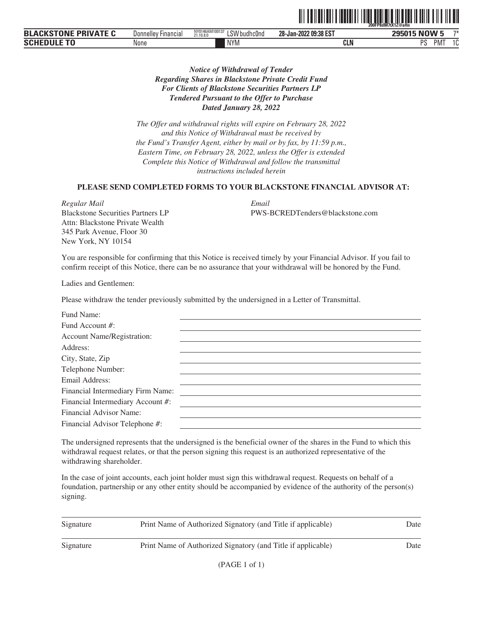|                                                           |                               |                                                               |                       | 200FP8dM7tX1Z@aHn           |               |
|-----------------------------------------------------------|-------------------------------|---------------------------------------------------------------|-----------------------|-----------------------------|---------------|
| : DDIVATE C<br>$\blacksquare$<br><b>BLA</b><br>JN:<br>- - | <b>Hinancial</b><br>Donnelley | NY0146AM10013 <sup>-</sup><br>ا SWL<br>/budhc0nd<br>21.10.8.0 | 28-Jan-2022 09:38 EST | <b>NOW</b><br><b>OOEN1E</b> | 一个半           |
| <b>SCH</b>                                                | None                          | <b>NYM</b>                                                    | <b>CLN</b>            | nc<br>PM <sup>-</sup>       | $\sim$<br>ט ו |

# *Notice of Withdrawal of Tender Regarding Shares in Blackstone Private Credit Fund For Clients of Blackstone Securities Partners LP Tendered Pursuant to the Offer to Purchase Dated January 28, 2022*

*The Offer and withdrawal rights will expire on February 28, 2022 and this Notice of Withdrawal must be received by the Fund's Transfer Agent, either by mail or by fax, by 11:59 p.m., Eastern Time, on February 28, 2022, unless the Offer is extended Complete this Notice of Withdrawal and follow the transmittal instructions included herein*

#### **PLEASE SEND COMPLETED FORMS TO YOUR BLACKSTONE FINANCIAL ADVISOR AT:**

*Regular Mail Email* Blackstone Securities Partners LP Attn: Blackstone Private Wealth 345 Park Avenue, Floor 30 New York, NY 10154

PWS-BCREDTenders@blackstone.com

ˆ200FP8dM7tX1Z@aHnŠ **200FP8dM7tX1Z@aHn**

You are responsible for confirming that this Notice is received timely by your Financial Advisor. If you fail to confirm receipt of this Notice, there can be no assurance that your withdrawal will be honored by the Fund.

Ladies and Gentlemen:

Please withdraw the tender previously submitted by the undersigned in a Letter of Transmittal.

| Fund Name:                        |  |
|-----------------------------------|--|
| Fund Account #:                   |  |
| <b>Account Name/Registration:</b> |  |
| Address:                          |  |
| City, State, Zip                  |  |
| Telephone Number:                 |  |
| Email Address:                    |  |
| Financial Intermediary Firm Name: |  |
| Financial Intermediary Account #: |  |
| Financial Advisor Name:           |  |
| Financial Advisor Telephone #:    |  |
|                                   |  |

The undersigned represents that the undersigned is the beneficial owner of the shares in the Fund to which this withdrawal request relates, or that the person signing this request is an authorized representative of the withdrawing shareholder.

| Signature | Print Name of Authorized Signatory (and Title if applicable) | Date |
|-----------|--------------------------------------------------------------|------|
| Signature | Print Name of Authorized Signatory (and Title if applicable) | Date |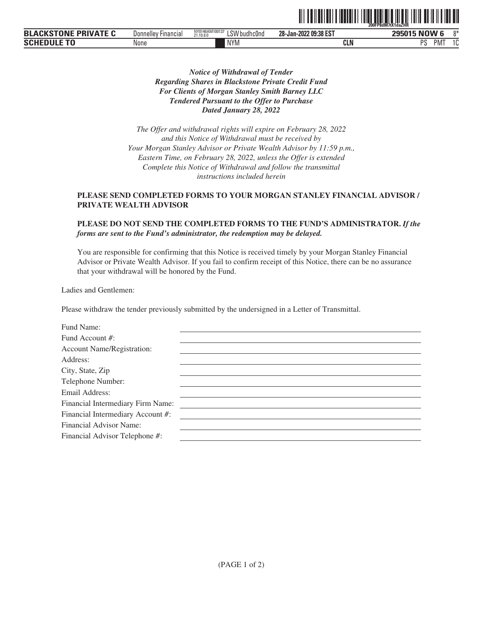| <b>BLACKSTONE</b><br><b>PRIVATE C</b> | <b>Donnelley Financial</b> | NY0146AM10013<br>'SW budhc0no<br>21.10.8.0 | 28-Jan-2022 09:38 EST | 295015 NOW 6<br>$0*$                  |
|---------------------------------------|----------------------------|--------------------------------------------|-----------------------|---------------------------------------|
| <b>SCHE</b>                           | None                       | <b>NYM</b>                                 | CLN                   | DС<br>$\sim$<br>'NI<br><u>ົບ</u><br>u |

ˆ200FP8dM7tX1daZHRŠ **200FP8dM7tX1daZHR**

# *Notice of Withdrawal of Tender Regarding Shares in Blackstone Private Credit Fund For Clients of Morgan Stanley Smith Barney LLC Tendered Pursuant to the Offer to Purchase Dated January 28, 2022*

*The Offer and withdrawal rights will expire on February 28, 2022 and this Notice of Withdrawal must be received by Your Morgan Stanley Advisor or Private Wealth Advisor by 11:59 p.m., Eastern Time, on February 28, 2022, unless the Offer is extended Complete this Notice of Withdrawal and follow the transmittal instructions included herein*

# **PLEASE SEND COMPLETED FORMS TO YOUR MORGAN STANLEY FINANCIAL ADVISOR / PRIVATE WEALTH ADVISOR**

# **PLEASE DO NOT SEND THE COMPLETED FORMS TO THE FUND'S ADMINISTRATOR.** *If the forms are sent to the Fund's administrator, the redemption may be delayed.*

You are responsible for confirming that this Notice is received timely by your Morgan Stanley Financial Advisor or Private Wealth Advisor. If you fail to confirm receipt of this Notice, there can be no assurance that your withdrawal will be honored by the Fund.

Ladies and Gentlemen:

Please withdraw the tender previously submitted by the undersigned in a Letter of Transmittal.

| Fund Name:                        |  |
|-----------------------------------|--|
| Fund Account #:                   |  |
| <b>Account Name/Registration:</b> |  |
| Address:                          |  |
| City, State, Zip                  |  |
| Telephone Number:                 |  |
| Email Address:                    |  |
| Financial Intermediary Firm Name: |  |
| Financial Intermediary Account #: |  |
| Financial Advisor Name:           |  |
| Financial Advisor Telephone #:    |  |
|                                   |  |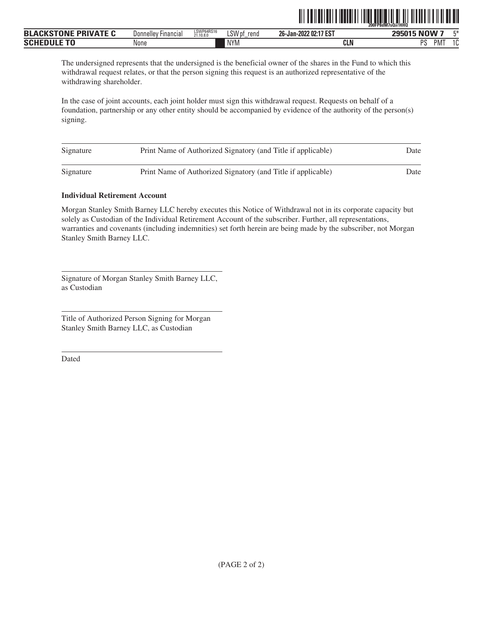|                                            |                                     |                         |                     |                                            | 200FP8dM7sQii!HHQ                       |              |
|--------------------------------------------|-------------------------------------|-------------------------|---------------------|--------------------------------------------|-----------------------------------------|--------------|
| <b>PRIVATE C</b><br>CLOTONIE<br><b>BLA</b> | <sup>.</sup> Financial<br>Donnelley | LSWP64RS16<br>21.10.8.0 | LSW pf<br>rend<br>- | 2 02:17 EST<br>ne.<br>ימחר .<br>26-Jan-202 | NOW 7<br>20F01F                         | mas.         |
| <b>SCH</b>                                 | None                                |                         | <b>NYM</b>          | <b>CLN</b>                                 | <sub>D</sub> <sub>C</sub><br><b>PMT</b> | $\sim$<br>ιu |

ˆ200FP8dM7sQii!HHQŠ **200FP8dM7sQii!HHQ**

The undersigned represents that the undersigned is the beneficial owner of the shares in the Fund to which this withdrawal request relates, or that the person signing this request is an authorized representative of the withdrawing shareholder.

In the case of joint accounts, each joint holder must sign this withdrawal request. Requests on behalf of a foundation, partnership or any other entity should be accompanied by evidence of the authority of the person(s) signing.

| Signature | Print Name of Authorized Signatory (and Title if applicable) | Date |
|-----------|--------------------------------------------------------------|------|
| Signature | Print Name of Authorized Signatory (and Title if applicable) | Date |

# **Individual Retirement Account**

Morgan Stanley Smith Barney LLC hereby executes this Notice of Withdrawal not in its corporate capacity but solely as Custodian of the Individual Retirement Account of the subscriber. Further, all representations, warranties and covenants (including indemnities) set forth herein are being made by the subscriber, not Morgan Stanley Smith Barney LLC.

Signature of Morgan Stanley Smith Barney LLC, as Custodian

Title of Authorized Person Signing for Morgan Stanley Smith Barney LLC, as Custodian

Dated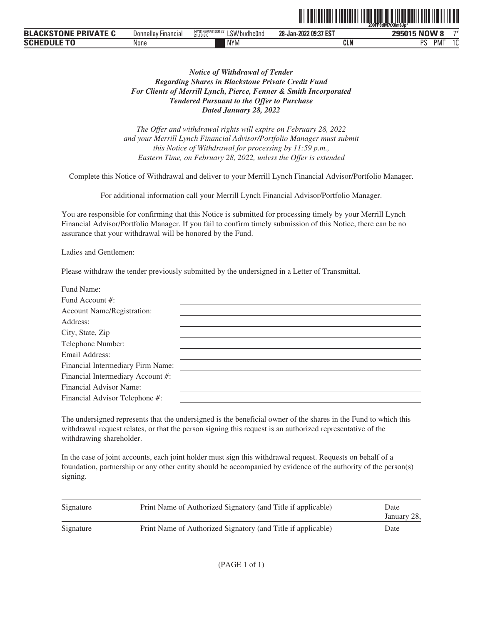|                 |                          |                                          |                                                             | <u>TII TEILEITII TEILEITII TIITTI TEILEETTI TEILEETTI TEILEITI TIITTI TEILEIT</u><br>200FP8dM7tX0mSJp* |
|-----------------|--------------------------|------------------------------------------|-------------------------------------------------------------|--------------------------------------------------------------------------------------------------------|
| <b>RIVATF C</b> | Donnelley<br>' Financial | NY0146AM100137<br>ISW budhc0nd<br>211000 | 28-Jan-2022 09:37<br>$^{\prime\prime}$ to $^{\prime\prime}$ | 295015 NOW<br>$-1$                                                                                     |

ˆ200FP8dM7tX0m\$Jp\*Š **200FP8dM7tX0m\$Jp\***

| <b>BLACKSTONE PRIVATE C</b> | Donnelley Financial | NY0146AM100137<br>$.$ CM $^{\prime}$<br>LSW budhc0nd<br>21,10.8.0 | 28-Jan-2022 09:37 EST | 295015 NOW 8<br>$7*$    |
|-----------------------------|---------------------|-------------------------------------------------------------------|-----------------------|-------------------------|
| <b>SCHEDULE TO</b>          | None                | <b>NYM</b>                                                        | <b>CLN</b>            | DC<br>$\sim$<br>PM<br>u |

# *Notice of Withdrawal of Tender Regarding Shares in Blackstone Private Credit Fund For Clients of Merrill Lynch, Pierce, Fenner & Smith Incorporated Tendered Pursuant to the Offer to Purchase Dated January 28, 2022*

*The Offer and withdrawal rights will expire on February 28, 2022 and your Merrill Lynch Financial Advisor/Portfolio Manager must submit this Notice of Withdrawal for processing by 11:59 p.m., Eastern Time, on February 28, 2022, unless the Offer is extended*

Complete this Notice of Withdrawal and deliver to your Merrill Lynch Financial Advisor/Portfolio Manager.

For additional information call your Merrill Lynch Financial Advisor/Portfolio Manager.

You are responsible for confirming that this Notice is submitted for processing timely by your Merrill Lynch Financial Advisor/Portfolio Manager. If you fail to confirm timely submission of this Notice, there can be no assurance that your withdrawal will be honored by the Fund.

Ladies and Gentlemen:

Please withdraw the tender previously submitted by the undersigned in a Letter of Transmittal.

| Fund Name:                        |  |
|-----------------------------------|--|
| Fund Account #:                   |  |
| <b>Account Name/Registration:</b> |  |
| Address:                          |  |
| City, State, Zip                  |  |
| Telephone Number:                 |  |
| Email Address:                    |  |
| Financial Intermediary Firm Name: |  |
| Financial Intermediary Account #: |  |
| Financial Advisor Name:           |  |
| Financial Advisor Telephone #:    |  |

The undersigned represents that the undersigned is the beneficial owner of the shares in the Fund to which this withdrawal request relates, or that the person signing this request is an authorized representative of the withdrawing shareholder.

| Signature | Print Name of Authorized Signatory (and Title if applicable) | Date<br>January 28, |
|-----------|--------------------------------------------------------------|---------------------|
| Signature | Print Name of Authorized Signatory (and Title if applicable) | Date                |